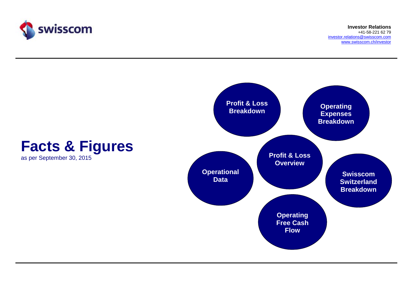

**Investor Relations**+41-58-221 62 79 investor.relations@swisscom.comwww.swisscom.ch/investor

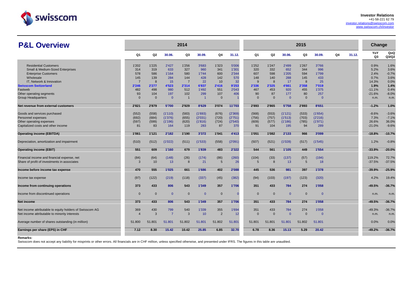

www.swisscom.ch/investor

# **P&L Overview**

| <b>P&amp;L Overview</b>                                  |                |                 |                       | 2014           |                 |                       |         |                 |              |                       | 2015         |                 |    |        | Change                |                 |
|----------------------------------------------------------|----------------|-----------------|-----------------------|----------------|-----------------|-----------------------|---------|-----------------|--------------|-----------------------|--------------|-----------------|----|--------|-----------------------|-----------------|
|                                                          | Q1             | Q2              | 30.06.                | Q3             | 30.09.          | Q4                    | 31.12.  | Q1              | Q2           | 30.06.                | Q3           | 30.09.          | Q4 | 31.12. | YoY<br>Q <sub>3</sub> | QoQ<br>Q3/Q2    |
| <b>Residential Customers</b>                             | 1'202          | 1'225           | 2'427                 | 1'256          | 3'683           | 1'323                 | 5'006   | 1'252           | 1'247        | 2'499                 | 1'267        | 3'766           |    |        | 0.9%                  | 1.6%            |
| <b>Small &amp; Medium-Sized Enterprises</b>              | 314            | 319             | 633                   | 327            | 960             | 341                   | 1'301   | 320             | 332          | 652                   | 344          | 996             |    |        | 5.2%                  | 3.6%            |
| <b>Enterprise Customers</b>                              | 578            | 586             | 1'164                 | 580            | 1'744           | 600                   | 2'344   | 607             | 598          | 1'205                 | 594          | 1'799           |    |        | 2.4%                  | $-0.7%$         |
| Wholesale                                                | 145            | 139             | 284                   | 144            | 428             | 142                   | 570     | 148             | 140          | 288                   | 145          | 433             |    |        | 0.7%                  | 3.6%            |
| IT. Network & Innovation                                 | $\overline{7}$ | 8               | 15                    | $\overline{7}$ | 22              | 10                    | 32      | 9               | 8            | 17                    | 8            | 25              |    |        | 14.3%                 | 0.0%            |
| <b>Swisscom Switzerland</b>                              | 2'246          | 2'277           | 4'523                 | 2'314          | 6'837           | 2'416                 | 9'253   | 2'336           | 2'325        | 4'661                 | 2'358        | 7'019           |    |        | 1.9%                  | 1.4%            |
| Fastweb                                                  | 482            | 498             | 980                   | 512            | 1'492           | 551                   | 2'043   | 467             | 453<br>87    | 920                   | 455<br>80    | 1'375           |    |        | $-11.1%$              | 0.4%<br>$-8.0%$ |
| Other operating segments<br><b>Group Headquarters</b>    | 93<br>$\Omega$ | 104<br>$\Omega$ | 197<br>$\overline{0}$ | 102            | 299<br>-1       | 107<br>$\overline{0}$ | 406     | 90<br>$\Omega$  | $\mathbf{0}$ | 177<br>$\overline{0}$ | $\mathbf{0}$ | 257<br>$\Omega$ |    |        | $-21.6%$<br>n.m.      | n.m.            |
| Net revenue from external customers                      | 2'821          | 2'879           | 5'700                 | 2'929          | 8'629           | 3'074                 | 11'703  | 2'893           | 2'865        | 5'758                 | 2'893        | 8'651           |    |        | $-1.2%$               | 1.0%            |
| Goods and services purchased                             | (552)          | (558)           | (1'110)               | (583)          | (1'693)         | (676)                 | (2'369) | (568)           | (553)        | (1'121)               | (533)        | (1'654)         |    |        | $-8.6%$               | $-3.6%$         |
| Personnel expenses                                       | (692)          | (684)           | (1'376)               | (655)          | (2'031)         | (720)                 | (2'751) | (756)           | (757)        | (1'513)               | (703)        | (2'216)         |    |        | 7.3%                  | $-7.1%$         |
| Other operating expenses                                 | (597)          | (599)           | (1'196)               | (620)          | (1'816)         | (724)                 | (2'540) | (609)           | (577)        | (1'186)               | (785)        | (1'971)         |    |        | 26.6%                 | 36.0%           |
| Capitalized costs and other income                       | 81             | 83              | 164                   | 119            | 283             | 87                    | 370     | 91              | 104          | 195                   | 94           | 289             |    |        | $-21.0%$              | $-9.6%$         |
| <b>Operating income (EBITDA)</b>                         | 1'061          | 1'121           | 2'182                 | 1'190          | 3'372           | 1'041                 | 4'413   | 1'051           | 1'082        | 2'133                 | 966          | 3'099           |    |        | $-18.8%$              | $-10.7%$        |
| Depreciation, amortization and impairment                | (510)          | (512)           | (1'022)               | (511)          | (1'533)         | (558)                 | (2'091) | (507)           | (521)        | (1'028)               | (517)        | (1'545)         |    |        | 1.2%                  | $-0.8%$         |
| <b>Operating income (EBIT)</b>                           | 551            | 609             | 1'160                 | 679            | 1'839           | 483                   | 2'322   | 544             | 561          | 1'105                 | 449          | 1'554           |    |        | $-33.9%$              | $-20.0%$        |
| Financial income and financial expense, net              | (84)           | (64)            | (148)                 | (26)           | (174)           | (86)                  | (260)   | (104)           | (33)         | (137)                 | (57)         | (194)           |    |        | 119.2%                | 72.7%           |
| Share of profit of investments in associates             | $\mathcal{R}$  | 10              | 13                    | 8              | 21              | 5                     | 26      | $5\overline{5}$ | 8            | 13                    | 5            | 18              |    |        | $-37.5%$              | $-37.5%$        |
| Income before income tax expense                         | 470            | 555             | 1'025                 | 661            | 1'686           | 402                   | 2'088   | 445             | 536          | 981                   | 397          | 1'378           |    |        | $-39.9%$              | $-25.9%$        |
| Income tax expense                                       | (97)           | (122)           | (219)                 | (118)          | (337)           | (45)                  | (382)   | (94)            | (103)        | (197)                 | (123)        | (320)           |    |        | 4.2%                  | 19.4%           |
| Income from continuing operations                        | 373            | 433             | 806                   | 543            | 1'349           | 357                   | 1'706   | 351             | 433          | 784                   | 274          | 1'058           |    |        | $-49.5%$              | $-36.7%$        |
| Income from discontinued operations                      | $\Omega$       | $\Omega$        | $\overline{0}$        | $\Omega$       | $\overline{0}$  | $\mathbf{0}$          | O       | $\Omega$        | $\mathbf{0}$ | $\overline{0}$        | $\Omega$     | $\Omega$        |    |        | n.m.                  | n.m.            |
| Net income                                               | 373            | 433             | 806                   | 543            | 1'349           | 357                   | 1'706   | 351             | 433          | 784                   | 274          | 1'058           |    |        | $-49.5%$              | $-36.7%$        |
| Net income attributable to equity holders of Swisscom AG | 369            | 430             | 799                   | 540            | 1'339           | 355                   | 1'694   | 351             | 433          | 784                   | 274          | 1'058           |    |        | $-49.3%$              | $-36.7%$        |
| Net income attributable to minority interests            | $\overline{4}$ | $\mathcal{R}$   | $\overline{7}$        | 3              | 10 <sup>°</sup> | $\overline{2}$        | 12      | $\Omega$        | $\mathbf{0}$ | $\Omega$              | $\Omega$     | $\Omega$        |    |        | n.m.                  | n.m.            |
| Average number of shares outstanding (in million)        | 51,800         | 51.801          | 51.801                | 51.802         | 51.801          | 51.802                | 51.801  | 51.801          | 51.801       | 51.801                | 51.802       | 51.801          |    |        | 0.0%                  | 0.0%            |
| Earnings per share (EPS) in CHF                          | 7.12           | 8.30            | 15.42                 | 10.42          | 25.85           | 6.85                  | 32.70   | 6.78            | 8.36         | 15.13                 | 5.29         | 20.42           |    |        | $-49.2%$              | $-36.7%$        |

#### **Remarks:**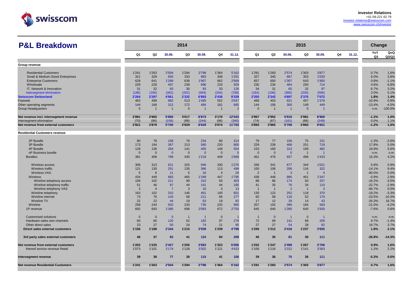

| <b>P&amp;L Breakdown</b>                 |                |                |                | 2014           |                |                |                |                |                |                | 2015           |                |    |        | Change                |              |
|------------------------------------------|----------------|----------------|----------------|----------------|----------------|----------------|----------------|----------------|----------------|----------------|----------------|----------------|----|--------|-----------------------|--------------|
|                                          | Q1             | Q2             | 30.06.         | Q3             | 30.09.         | Q4             | 31.12.         | Q <sub>1</sub> | Q2             | 30.06.         | Q3             | 30.09.         | Q4 | 31.12. | YoY<br>Q <sub>3</sub> | QoQ<br>Q3/Q2 |
| Group revenue                            |                |                |                |                |                |                |                |                |                |                |                |                |    |        |                       |              |
|                                          |                |                |                |                |                |                |                |                |                |                |                |                |    |        |                       |              |
| <b>Residential Customers</b>             | 1'241          | 1'263          | 2'504          | 1'294          | 3'798          | 1'364          | 5'162          | 1'291          | 1'283          | 2'574          | 1'303          | 3'877          |    |        | 0.7%                  | 1.6%         |
| Small & Medium-Sized Enterprises         | 321            | 329            | 650            | 333            | 983            | 348            | 1'331          | 327            | 340            | 667            | 353            | 1'020          |    |        | 6.0%                  | 3.8%         |
| <b>Enterprise Customers</b>              | 628            | 641            | 1'269          | 638            | 1'907          | 662            | 2'569          | 657            | 650            | 1'307          | 643            | 1'950          |    |        | 0.8%                  | $-1.1%$      |
| Wholesale                                | 229            | 228            | 457            | 239            | 696            | 233            | 929            | 230            | 234            | 464            | 250            | 714            |    |        | 4.6%                  | 6.8%         |
| IT, Network & Innovation                 | 31             | 32             | 63             | 30             | 93             | 33             | 126            | 34             | 31             | 65             | 32             | 97             |    |        | 6.7%                  | 3.2%         |
| Intersegment elimination                 | (186)          | (196)          | (382)          | (202)          | (584)          | (204)          | (788)          | (184)          | (196)          | (380)          | (206)          | (586)          |    |        | 2.0%                  | 5.1%         |
| <b>Swisscom Switzerland</b>              | 2'264          | 2'297          | 4'561          | 2'332          | 6'893          | 2'436          | 9'329          | 2'355          | 2'342          | 4'697          | 2'375          | 7'072          |    |        | 1.8%                  | 1.4%         |
| Fastweb                                  | 483            | 499            | 982            | 513            | 1'495          | 552            | 2'047          | 468            | 453            | 921            | 457            | 1'378          |    |        | $-10.9%$              | 0.9%         |
| Other operating segments                 | 144            | 168            | 312            | 172            | 484            | 181            | 665            | 144            | 156            | 300            | 149            | 449            |    |        | $-13.4%$              | $-4.5%$      |
| <b>Group Headquarters</b>                | $\overline{0}$ | $\overline{1}$ | $\overline{1}$ | $\overline{0}$ | $\overline{1}$ | $\overline{1}$ | $\overline{2}$ | $\Omega$       | $\overline{1}$ | $\overline{1}$ | $\mathbf{0}$   |                |    |        | n.m.                  | $-100.0%$    |
| Net revenue incl. intersegment revenue   | 2'891          | 2'965          | 5'856          | 3'017          | 8'873          | 3'170          | 12'043         | 2'967          | 2'952          | 5'919          | 2'981          | 8'900          |    |        | $-1.2%$               | 1.0%         |
| Intersegment elimination                 | (70)           | (86)           | (156)          | (88)           | (244)          | (96)           | (340)          | (74)           | (87)           | (161)          | (88)           | (249)          |    |        | 0.0%                  | 1.1%         |
| Net revenue from external customers      | 2'821          | 2'879          | 5'700          | 2'929          | 8'629          | 3'074          | 11'703         | 2'893          | 2'865          | 5'758          | 2'893          | 8'651          |    |        | $-1.2%$               | 1.0%         |
| <b>Residential Customers revenue</b>     |                |                |                |                |                |                |                |                |                |                |                |                |    |        |                       |              |
| 2P Bundle                                | 80             | 78             | 158            | 76             | 234            | 80             | 314            | 79             | 77             | 156            | 75             | 231            |    |        | $-1.3%$               | $-2.6%$      |
| 3P Bundle                                | 173            | 194            | 367            | 213            | 580            | 220            | 800            | 229            | 239            | 468            | 251            | 719            |    |        | 17.8%                 | 5.0%         |
| 4P Bundle                                | 128            | 136            | 264            | 141            | 405            | 149            | 554            | 153            | 160            | 313            | 169            | 482            |    |        | 19.9%                 | 5.6%         |
| nP Business bundle                       | $\overline{0}$ | $\mathbf 0$    | $\overline{0}$ | $\overline{0}$ | $\overline{0}$ | $\overline{0}$ | $\Omega$       | $\overline{0}$ | $\mathbf{0}$   | $\overline{0}$ | $\overline{1}$ |                |    |        | n.m.                  | n.m.         |
| <b>Bundles</b>                           | 381            | 408            | 789            | 430            | 1'219          | 449            | 1'668          | 461            | 476            | 937            | 496            | 1'433          |    |        | 15.3%                 | 4.2%         |
| Wireless access                          | 308            | 313            | 621            | 325            | 946            | 330            | 1'276          | 336            | 341            | 677            | 344            | 1'021          |    |        | 5.8%                  | 0.9%         |
| Wireless traffic                         | 121            | 130            | 251            | 135            | 386            | 113            | 499            | 100            | 106            | 206            | 116            | 322            |    |        | $-14.1%$              | 9.4%         |
| <b>Wireless VAS</b>                      | 5              | 6              | 11             | 5              | 16             | $\overline{4}$ | 20             | $\overline{2}$ | $\overline{1}$ | $\mathbf{3}$   | $\overline{1}$ | $\overline{4}$ |    |        | $-80.0%$              | 0.0%         |
| <b>Wireless</b>                          | 434            | 449            | 883            | 465            | 1'348          | 447            | 1'795          | 438            | 448            | 886            | 461            | 1'347          |    |        | $-0.9%$               | 2.9%         |
| Wireline telephony access                | 109            | 102            | 211            | 99             | 310            | 93             | 403            | 88             | 86             | 174            | 83             | 257            |    |        | $-16.2%$              | $-3.5%$      |
| Wireline telephony traffic               | 51             | 46             | 97             | 44             | 141            | 44             | 185            | 41             | 35             | 76             | 34             | 110            |    |        | $-22.7%$              | $-2.9%$      |
| Wireline telephony VAS                   | $\overline{3}$ | $\overline{4}$ | $\overline{7}$ | $\mathbf{3}$   | 10             | $\mathbf{3}$   | 13             | $\overline{1}$ | $\overline{1}$ | $\overline{2}$ | $\overline{1}$ | $\overline{3}$ |    |        | $-66.7%$              | 0.0%         |
| Wireline telephony                       | 163            | 152            | 315            | 146            | 461            | 140            | 601            | 130            | 122            | 252            | 118            | 370            |    |        | $-19.2%$              | $-3.3%$      |
| Wireline internet                        | 73             | 70             | 143            | 68             | 211            | 66             | 277            | 60             | 58             | 118            | 52             | 170            |    |        | $-23.5%$              | $-10.3%$     |
| Wireline TV                              | 22             | 22             | 44             | 19             | 63             | 19             | 82             | 17             | 12             | 29             | 14             | 43             |    |        | $-26.3%$              | 16.7%        |
| Wireline                                 | 258            | 244            | 502            | 233            | 735            | 225            | 960            | 207            | 192            | 399            | 184            | 583            |    |        | $-21.0%$              | $-4.2%$      |
| 1P revenue                               | 692            | 693            | 1'385          | 698            | 2'083          | 672            | 2'755          | 645            | 640            | 1'285          | 645            | 1'930          |    |        | $-7.6%$               | 0.8%         |
| <b>Customised solutions</b>              | $\overline{0}$ | $\mathbf 0$    | $\overline{0}$ | $\mathbf{1}$   | $\mathbf{1}$   | $\overline{0}$ |                | $\overline{1}$ | $\mathbf{0}$   | $\overline{1}$ | $\mathbf 0$    | -1             |    |        | n.m.                  | n.m.         |
| Hardware sales own channels              | 60             | 60             | 120            | 62             | 182            | 97             | 279            | 72             | 69             | 141            | 68             | 209            |    |        | 9.7%                  | $-1.4%$      |
| Other direct sales                       | 23             | 27             | 50             | 24             | 74             | 21             | 95             | 27             | 27             | 54             | 28             | 82             |    |        | 16.7%                 | 3.7%         |
| Direct sales external customers          | 1'156          | 1'188          | 2'344          | 1'215          | 3'559          | 1'239          | 4'798          | 1'206          | 1'212          | 2'418          | 1'237          | 3'655          |    |        | 1.8%                  | 2.1%         |
| 3rd party sales external customers       | 46             | 37             | 83             | 41             | 124            | 84             | 208            | 46             | 35             | 81             | 30             | 111            |    |        | $-26.8%$              | $-14.3%$     |
| Net revenue from external customers      | 1'202          | 1'225          | 2'427          | 1'256          | 3'683          | 1'323          | 5'006          | 1'252          | 1'247          | 2'499          | 1'267          | 3'766          |    |        | 0.9%                  | 1.6%         |
| thereof service revenue Retail           | 1'073          | 1'101          | 2'174          | 1'128          | 3'302          | 1'121          | 4'423          | 1'106          | 1'116          | 2'222          | 1'141          | 3'363          |    |        | 1.2%                  | 2.2%         |
| Intersegment revenue                     | 39             | 38             | 77             | 38             | 115            | 41             | 156            | 39             | 36             | 75             | 36             | 111            |    |        | $-5.3%$               | 0.0%         |
| <b>Net revenue Residential Customers</b> | 1'241          | 1'263          | 2'504          | 1'294          | 3'798          | 1'364          | 5'162          | 1'291          | 1'283          | 2'574          | 1'303          | 3'877          |    |        | 0.7%                  | 1.6%         |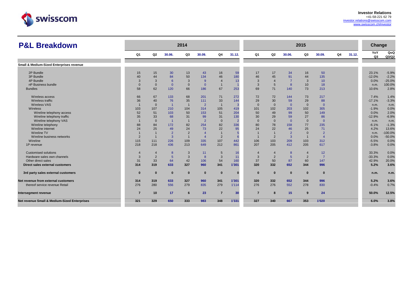

| <b>P&amp;L Breakdown</b>                                |                |                |                | 2014           |                |                |                 |                |                |                | 2015           |                |    |        | Change    |              |
|---------------------------------------------------------|----------------|----------------|----------------|----------------|----------------|----------------|-----------------|----------------|----------------|----------------|----------------|----------------|----|--------|-----------|--------------|
|                                                         | Q <sub>1</sub> | Q <sub>2</sub> | 30.06.         | Q3             | 30.09.         | Q4             | 31.12.          | Q1             | Q <sub>2</sub> | 30.06.         | Q3             | 30.09.         | Q4 | 31.12. | YoY<br>Q3 | QoQ<br>Q3/Q2 |
| Small & Medium-Sized Enterprises revenue                |                |                |                |                |                |                |                 |                |                |                |                |                |    |        |           |              |
|                                                         |                |                |                |                |                |                |                 |                |                |                |                |                |    |        |           |              |
| 2P Bundle                                               | 15             | 15             | 30             | 13             | 43             | 16             | 59              | 17             | 17             | 34             | 16             | 50             |    |        | 23.1%     | $-5.9%$      |
| 3P Bundle                                               | 40             | 44             | 84             | 50             | 134            | 46             | 180             | 46             | 45             | 91             | 44             | 135            |    |        | $-12.0%$  | $-2.2%$      |
| 4P Bundle                                               | 3              | 3              | 6              | 3              | -9             | $\overline{4}$ | 13              | 3              | $\overline{4}$ | $\overline{7}$ | 3              | 10             |    |        | 0.0%      | $-25.0%$     |
| nP Business bundle                                      | $\Omega$       | $\Omega$       | $\overline{0}$ | $\mathbf{0}$   | $\overline{0}$ | $\overline{1}$ |                 | $\overline{3}$ | 5              | 8              | 10             | 18             |    |        | n.m.      | 100.0%       |
| <b>Bundles</b>                                          | 58             | 62             | 120            | 66             | 186            | 67             | 253             | 69             | 71             | 140            | 73             | 213            |    |        | 10.6%     | 2.8%         |
|                                                         |                |                |                |                |                |                |                 |                |                |                |                |                |    |        |           |              |
| Wireless access                                         | 66             | 67             | 133            | 68             | 201            | 71             | 272             | 72             | 72             | 144            | 73             | 217            |    |        | 7.4%      | 1.4%         |
| Wireless traffic                                        | 36             | 40             | 76             | 35             | 111            | 33             | 144             | 29             | 30             | 59             | 29             | 88             |    |        | $-17.1%$  | $-3.3%$      |
| <b>Wireless VAS</b>                                     |                | $\Omega$       | $\overline{1}$ |                | $\overline{2}$ | $\overline{1}$ | $\overline{3}$  | $\Omega$       | $\mathbf{0}$   | $\overline{0}$ | $\Omega$       | $\Omega$       |    |        | n.m.      | n.m.         |
| Wireless                                                | 103            | 107            | 210            | 104            | 314            | 105            | 419             | 101            | 102            | 203            | 102            | 305            |    |        | $-1.9%$   | 0.0%         |
| Wireline telephony access                               | 52             | 51             | 103            | 50             | 153            | 51             | 204             | 50             | 49             | 99             | 50             | 149            |    |        | 0.0%      | 2.0%         |
| Wireline telephony traffic                              | 35             | 33             | 68             | 31             | 99             | 31             | 130             | 30             | 29             | 59             | 27             | 86             |    |        | $-12.9%$  | $-6.9%$      |
| Wireline telephony VAS                                  |                | $\Omega$       | $\overline{1}$ |                | $\overline{2}$ | $\mathbf{0}$   | $\overline{2}$  | $\overline{0}$ | $\mathbf{0}$   | $\overline{0}$ | $\Omega$       | $\overline{0}$ |    |        | n.m.      | n.m.         |
| Wireline telephony                                      | 88             | 84             | 172            | 82             | 254            | 82             | 336             | 80             | 78             | 158            | 77             | 235            |    |        | $-6.1%$   | $-1.3%$      |
| Wireline internet                                       | 24             | 25             | 49             | 24             | 73             | 22             | 95              | 24             | 22             | 46             | 25             | 71             |    |        | 4.2%      | 13.6%        |
| Wireline TV                                             |                |                | $\overline{2}$ | $\overline{2}$ |                | $\overline{1}$ | $5\overline{5}$ |                |                | $\overline{2}$ | $\Omega$       | $\overline{2}$ |    |        | n.m.      | $-100.0%$    |
| Wireline business networks                              | $\overline{2}$ |                | 3              |                | $\overline{4}$ | $\overline{2}$ | 6               |                | $\overline{2}$ | 3              |                | $\overline{4}$ |    |        | 0.0%      | $-50.0%$     |
| Wireline                                                | 115            | 111            | 226            | 109            | 335            | 107            | 442             | 106            | 103            | 209            | 103            | 312            |    |        | $-5.5%$   | 0.0%         |
| 1P revenue                                              | 218            | 218            | 436            | 213            | 649            | 212            | 861             | 207            | 205            | 412            | 205            | 617            |    |        | $-3.8%$   | 0.0%         |
|                                                         |                |                |                |                |                |                |                 |                |                |                |                |                |    |        |           |              |
| <b>Customised solutions</b>                             | $\overline{4}$ | 4              | 8              | 3              | 11             | 5              | 16              |                | $\overline{4}$ | 8              | $\overline{4}$ | 12             |    |        | 33.3%     | 0.0%         |
| Hardware sales own channels                             | 3              | $\overline{2}$ | 5              | 3              | 8              | 3              | 11              | 3              | $\overline{2}$ | 5              | 2              | -7             |    |        | $-33.3%$  | 0.0%         |
| Other direct sales                                      | 31             | 33             | 64             | 42             | 106            | 54             | 160             | 37             | 50             | 87             | 60             | 147            |    |        | 42.9%     | 20.0%        |
| Direct sales external customers                         | 314            | 319            | 633            | 327            | 960            | 341            | 1'301           | 320            | 332            | 652            | 344            | 996            |    |        | 5.2%      | 3.6%         |
|                                                         |                |                |                |                |                |                |                 |                |                |                |                |                |    |        |           |              |
| 3rd party sales external customers                      | $\bf{0}$       | $\Omega$       | $\bf{0}$       | $\bf{0}$       | $\bf{0}$       | $\mathbf{0}$   | $\bf{0}$        | $\bf{0}$       | $\bf{0}$       | $\bf{0}$       | $\bf{0}$       | $\mathbf{0}$   |    |        | n.m.      | n.m.         |
| Net revenue from external customers                     | 314            | 319            | 633            | 327            | 960            | 341            | 1'301           | 320            | 332            | 652            | 344            | 996            |    |        | 5.2%      | 3.6%         |
| thereof service revenue Retail                          | 276            | 280            | 556            | 279            | 835            | 279            | 1'114           | 276            | 276            | 552            | 278            | 830            |    |        | $-0.4%$   | 0.7%         |
|                                                         |                |                |                |                |                |                |                 |                |                |                |                |                |    |        |           |              |
| Intersegment revenue                                    | $\overline{7}$ | 10             | 17             | 6              | 23             | $\overline{7}$ | 30              | $\overline{7}$ | 8              | 15             | 9              | 24             |    |        | 50.0%     | 12.5%        |
| <b>Net revenue Small &amp; Medium-Sized Enterprises</b> | 321            | 329            | 650            | 333            | 983            | 348            | 1'331           | 327            | 340            | 667            | 353            | 1'020          |    |        | 6.0%      | 3.8%         |
|                                                         |                |                |                |                |                |                |                 |                |                |                |                |                |    |        |           |              |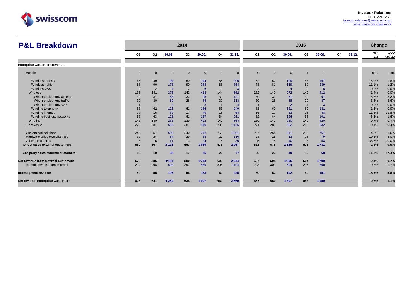

| <b>P&amp;L Breakdown</b>                |                |                 |                | 2014           |                |                |        |                |                |                | 2015           |        |    |        | <b>Change</b> |              |
|-----------------------------------------|----------------|-----------------|----------------|----------------|----------------|----------------|--------|----------------|----------------|----------------|----------------|--------|----|--------|---------------|--------------|
|                                         | Q1             | Q <sub>2</sub>  | 30.06.         | Q3             | 30.09.         | Q4             | 31.12. | Q <sub>1</sub> | Q2             | 30.06.         | Q3             | 30.09. | Q4 | 31.12. | YoY<br>Q3     | QoQ<br>Q3/Q2 |
| <b>Enterprise Customers revenue</b>     |                |                 |                |                |                |                |        |                |                |                |                |        |    |        |               |              |
| <b>Bundles</b>                          | $\mathbf 0$    | $\mathbf 0$     | $\overline{0}$ | $\Omega$       | $\overline{0}$ | $\mathbf{0}$   |        | $\Omega$       | $\Omega$       | $\mathbf{0}$   | $\overline{1}$ |        |    |        | n.m.          | n.m.         |
| Wireless access                         | 45             | 49              | 94             | 50             | 144            | 56             | 200    | 52             | 57             | 109            | 58             | 167    |    |        | 16.0%         | 1.8%         |
| Wireless traffic                        | 88             | 90              | 178            | 90             | 268            | 86             | 354    | 78             | 81             | 159            | 80             | 239    |    |        | $-11.1%$      | $-1.2%$      |
| <b>Wireless VAS</b>                     | $\overline{2}$ | $\overline{2}$  | $\overline{4}$ | $\overline{2}$ | 6              | $\overline{2}$ | 8      | $\overline{2}$ | $\overline{2}$ | $\overline{4}$ | 2              | 6      |    |        | 0.0%          | 0.0%         |
| Wireless                                | 135            | 141             | 276            | 142            | 418            | 144            | 562    | 132            | 140            | 272            | 140            | 412    |    |        | $-1.4%$       | 0.0%         |
| Wireline telephony access               | 32             | 31              | 63             | 32             | 95             | 32             | 127    | 30             | 31             | 61             | 30             | 91     |    |        | $-6.3%$       | $-3.2%$      |
| Wireline telephony traffic              | 30             | 30              | 60             | 28             | 88             | 30             | 118    | 30             | 28             | 58             | 29             | 87     |    |        | 3.6%          | 3.6%         |
| Wireline telephony VAS                  |                |                 | $\overline{2}$ |                | $\overline{3}$ |                |        |                |                | $\overline{2}$ |                | 3      |    |        | 0.0%          | 0.0%         |
| Wireline telephony                      | 63             | 62              | 125            | 61             | 186            | 63             | 249    | 61             | 60             | 121            | 60             | 181    |    |        | $-1.6%$       | 0.0%         |
| Wireline internet                       | 17             | 15              | 32             | 17             | 49             | 15             | 64     | 16             | 17             | 33             | 15             | 48     |    |        | $-11.8%$      | $-11.8%$     |
| Wireline business networks              | 63             | 63              | 126            | 61             | 187            | 64             | 251    | 62             | 64             | 126            | 65             | 191    |    |        | 6.6%          | 1.6%         |
| Wireline                                | 143            | 140             | 283            | 139            | 422            | 142            | 564    | 139            | 141            | 280            | 140            | 420    |    |        | 0.7%          | $-0.7%$      |
| 1P revenue                              | 278            | 281             | 559            | 281            | 840            | 286            | 1'126  | 271            | 281            | 552            | 280            | 832    |    |        | $-0.4%$       | $-0.4%$      |
| <b>Customised solutions</b>             | 245            | 257             | 502            | 240            | 742            | 259            | 1'001  | 257            | 254            | 511            | 250            | 761    |    |        | 4.2%          | $-1.6%$      |
| Hardware sales own channels             | 30             | 24              | 54             | 29             | 83             | 27             | 110    | 28             | 25             | 53             | 26             | 79     |    |        | $-10.3%$      | 4.0%         |
| Other direct sales                      | 6              | $5\overline{5}$ | 11             | 13             | 24             | $6\phantom{1}$ | 30     | 25             | 15             | 40             | 18             | 58     |    |        | 38.5%         | 20.0%        |
| Direct sales external customers         | 559            | 567             | 1'126          | 563            | 1'689          | 578            | 2'267  | 581            | 575            | 1'156          | 575            | 1'731  |    |        | 2.1%          | 0.0%         |
| 3rd party sales external customers      | 19             | 19              | 38             | 17             | 55             | 22             | 77     | 26             | 23             | 49             | 19             | 68     |    |        | 11.8%         | $-17.4%$     |
| Net revenue from external customers     | 578            | 586             | 1'164          | 580            | 1'744          | 600            | 2'344  | 607            | 598            | 1'205          | 594            | 1'799  |    |        | 2.4%          | $-0.7%$      |
| thereof service revenue Retail          | 294            | 298             | 592            | 297            | 889            | 305            | 1'194  | 293            | 301            | 594            | 296            | 890    |    |        | $-0.3%$       | $-1.7%$      |
| Intersegment revenue                    | 50             | 55              | 105            | 58             | 163            | 62             | 225    | 50             | 52             | 102            | 49             | 151    |    |        | $-15.5%$      | $-5.8%$      |
| <b>Net revenue Enterprise Customers</b> | 628            | 641             | 1'269          | 638            | 1'907          | 662            | 2'569  | 657            | 650            | 1'307          | 643            | 1'950  |    |        | 0.8%          | $-1.1%$      |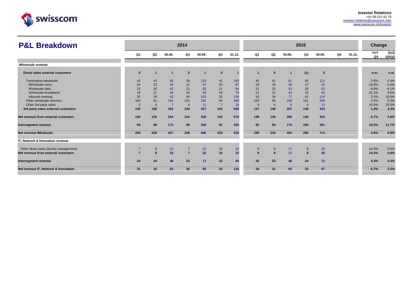

| <b>P&amp;L Breakdown</b>                 |                |              |        | 2014           |        |                |                 |                |                |        | 2015 |              |    |        | Change    |              |
|------------------------------------------|----------------|--------------|--------|----------------|--------|----------------|-----------------|----------------|----------------|--------|------|--------------|----|--------|-----------|--------------|
|                                          | Q1             | Q2           | 30.06. | Q3             | 30.09. | Q4             | 31.12.          | Q <sub>1</sub> | Q2             | 30.06. | Q3   | 30.09.       | Q4 | 31.12. | YoY<br>Q3 | QoQ<br>Q3/Q2 |
| Wholesale revenue                        |                |              |        |                |        |                |                 |                |                |        |      |              |    |        |           |              |
| Direct sales external customers          | $\mathbf{0}$   |              |        | $\bf{0}$       |        | $\mathbf{0}$   |                 |                | $\bf{0}$       |        | (1)  | $\mathbf{0}$ |    |        | n.m.      | n.m.         |
| Termination wholesale                    | 42             | 43           | 85     | 39             | 124    | 41             | 165             | 40             | 41             | 81     | 40   | 121          |    |        | 2.6%      | $-2.4%$      |
| Wholesale voice                          | 24             | 22           | 46     | 21             | 67     | 20             | 87              | 18             | 18             | 36     | 17   | 53           |    |        | $-19.0%$  | $-5.6%$      |
| Wholesale data                           | 22             | 20           | 42     | 21             | 63     | 21             | 84              | 21             | 22             | 43     | 20   | 63           |    |        | $-4.8%$   | $-9.1%$      |
| Wholesale broadband                      | 19             | 21           | 40     | 19             | 59     | 20             | 79              | 21             | 21             | 42     | 23   | 65           |    |        | 21.1%     | 9.5%         |
| Inbound roaming                          | 35             | 28           | 63     | 40             | 103    | 33             | 136             | 43             | 34             | 77     | 41   | 118          |    |        | 2.5%      | 20.6%        |
| Other wholesale services                 | 100            | 91           | 191    | 101            | 292    | 94             | 386             | 103            | 95             | 198    | 101  | 299          |    |        | 0.0%      | 6.3%         |
| Other 3rd party sales                    | 3              |              | -7     | $\overline{4}$ | 11     | $\overline{7}$ | 18              | $\overline{4}$ | $\overline{4}$ | 8      | 5    | 13           |    |        | 25.0%     | 25.0%        |
| 3rd party sales external customers       | 145            | 138          | 283    | 144            | 427    | 142            | 569             | 147            | 140            | 287    | 146  | 433          |    |        | 1.4%      | 4.3%         |
| Net revenue from external customers      | 145            | 139          | 284    | 144            | 428    | 142            | 570             | 148            | 140            | 288    | 145  | 433          |    |        | 0.7%      | 3.6%         |
| Intersegment revenue                     | 84             | 89           | 173    | 95             | 268    | 91             | 359             | 82             | 94             | 176    | 105  | 281          |    |        | 10.5%     | 11.7%        |
| Net revenue Wholesale                    | 229            | 228          | 457    | 239            | 696    | 233            | 929             | 230            | 234            | 464    | 250  | 714          |    |        | 4.6%      | 6.8%         |
| IT, Network & Innovation revenue         |                |              |        |                |        |                |                 |                |                |        |      |              |    |        |           |              |
| Other direct sales (facility management) | $\overline{7}$ | 8            | 15     |                | 22     | 10             | 32              | 9              | 8              | 17     | 8    | 25           |    |        | 14.3%     | 0.0%         |
| Net revenue from external customers      | $\overline{ }$ | $\mathbf{a}$ | 15     | $\overline{7}$ | 22     | 10             | 32 <sub>2</sub> | $\mathbf{q}$   | 8              | 17     | 8    | 25           |    |        | 14.3%     | 0.0%         |
| Intersegment revenue                     | 24             | 24           | 48     | 23             | 71     | 23             | 94              | 25             | 23             | 48     | 24   | 72           |    |        | 4.3%      | 4.3%         |
| Net revenue IT, Network & Innovation     | 31             | 32           | 63     | 30             | 93     | 33             | 126             | 34             | 31             | 65     | 32   | 97           |    |        | 6.7%      | 3.2%         |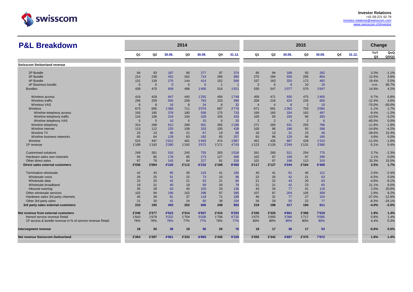

| <b>P&amp;L Breakdown</b>                                  |                |                 |                | 2014           |                |                |        |                |                |                | 2015           |        |    |        | Change    |              |
|-----------------------------------------------------------|----------------|-----------------|----------------|----------------|----------------|----------------|--------|----------------|----------------|----------------|----------------|--------|----|--------|-----------|--------------|
|                                                           | Q <sub>1</sub> | Q2              | 30.06.         | Q3             | 30.09.         | Q4             | 31.12. | Q1             | Q2             | 30.06.         | Q3             | 30.09. | Q4 | 31.12. | YoY<br>Q3 | QoQ<br>Q3/Q2 |
| <b>Swisscom Switzerland revenue</b>                       |                |                 |                |                |                |                |        |                |                |                |                |        |    |        |           |              |
|                                                           |                |                 |                |                |                |                |        |                |                |                |                |        |    |        |           |              |
| 2P Bundle                                                 | 94             | 93              | 187            | 90             | 277            | 97             | 374    | 95             | 94             | 189            | 93             | 282    |    |        | 3.3%      | $-1.1%$      |
| 3P Bundle                                                 | 214            | 238             | 452            | 262            | 714            | 266            | 980    | 275            | 284            | 559            | 295            | 854    |    |        | 12.6%     | 3.9%         |
| 4P Bundle                                                 | 131            | 139             | 270            | 144            | 414            | 152            | 566    | 157            | 163            | 320            | 172            | 492    |    |        | 19.4%     | 5.5%         |
| nP Business bundle                                        | $\mathbf{0}$   | $\Omega$        | $\overline{0}$ | $\overline{0}$ | $\overline{0}$ | $\overline{1}$ |        | $\mathbf{3}$   | 6              | 9              | 10             | 19     |    |        | n.m.      | 66.7%        |
| <b>Bundles</b>                                            | 439            | 470             | 909            | 496            | 1'405          | 516            | 1'921  | 530            | 547            | 1'077          | 570            | 1'647  |    |        | 14.9%     | 4.2%         |
| Wireless access                                           | 419            | 428             | 847            | 445            | 1'292          | 456            | 1'748  | 459            | 471            | 930            | 475            | 1'405  |    |        | 6.7%      | 0.8%         |
| Wireless traffic                                          | 246            | 259             | 505            | 258            | 763            | 233            | 996    | 208            | 216            | 424            | 226            | 650    |    |        | $-12.4%$  | 4.6%         |
| <b>Wireless VAS</b>                                       | 8              | 8               | 16             | 8              | 24             | 8              | 32     | $\overline{4}$ | $\overline{4}$ | 8              | $\overline{2}$ | 10     |    |        | $-75.0%$  | $-50.0%$     |
| Wireless                                                  | 673            | 695             | 1'368          | 711            | 2'079          | 697            | 2'776  | 671            | 691            | 1'362          | 703            | 2'065  |    |        | $-1.1%$   | 1.7%         |
| Wireline telephony access                                 | 193            | 185             | 378            | 180            | 558            | 175            | 733    | 169            | 165            | 334            | 163            | 497    |    |        | $-9.4%$   | $-1.2%$      |
| Wireline telephony traffic                                | 116            | 108             | 224            | 104            | 328            | 105            | 433    | 100            | 93             | 193            | 90             | 283    |    |        | $-13.5%$  | $-3.2%$      |
| Wireline telephony VAS                                    | 5              | $5\overline{)}$ | 10             | 5              | 15             | 5              | 20     | $\overline{2}$ | $\overline{2}$ | $\overline{4}$ | $\overline{2}$ | 6      |    |        | $-60.0%$  | 0.0%         |
| Wireline telephony                                        | 314            | 298             | 612            | 289            | 901            | 285            | 1'186  | 271            | 260            | 531            | 255            | 786    |    |        | $-11.8%$  | $-1.9%$      |
| Wireline internet                                         | 113            | 112             | 225            | 108            | 333            | 105            | 438    | 100            | 96             | 196            | 92             | 288    |    |        | $-14.8%$  | $-4.2%$      |
| <b>Wireline TV</b>                                        | 23             | 23              | 46             | 21             | 67             | 19             | 86     | 18             | 13             | 31             | 15             | 46     |    |        | $-28.6%$  | 15.4%        |
| Wireline business networks                                | 65             | 64              | 129            | 63             | 192            | 65             | 257    | 63             | 66             | 129            | 66             | 195    |    |        | 4.8%      | 0.0%         |
| Wireline                                                  | 515            | 497             | 1'012          | 481            | 1'493          | 474            | 1'967  | 452            | 435            | 887            | 428            | 1'315  |    |        | $-11.0%$  | $-1.6%$      |
| 1P revenue                                                | 1'188          | 1'192           | 2'380          | 1'192          | 3'572          | 1'171          | 4'743  | 1'123          | 1'126          | 2'249          | 1'131          | 3'380  |    |        | $-5.1%$   | 0.4%         |
| Customised solutions                                      | 249            | 261             | 510            | 245            | 755            | 263            | 1'018  | 261            | 260            | 521            | 254            | 775    |    |        | 3.7%      | $-2.3%$      |
| Hardware sales own channels                               | 93             | 85              | 178            | 95             | 273            | 127            | 400    | 102            | 97             | 199            | 97             | 296    |    |        | 2.1%      | 0.0%         |
| Other direct sales                                        | 67             | 76              | 143            | 84             | 227            | 91             | 318    | 101            | 97             | 198            | 112            | 310    |    |        | 33.3%     | 15.5%        |
| Direct sales external customers                           | 2'036          | 2'084           | 4'120          | 2'112          | 6'232          | 2'168          | 8'400  | 2'117          | 2'127          | 4'244          | 2'164          | 6'408  |    |        | 2.5%      | 1.7%         |
| <b>Termination wholesale</b>                              | 42             | 43              | 85             | 39             | 124            | 41             | 165    | 40             | 41             | 81             | 40             | 121    |    |        | 2.6%      | $-2.4%$      |
| Wholesale voice                                           | 26             | 25              | 51             | 22             | 73             | 23             | 96     | 22             | 20             | 42             | 21             | 63     |    |        | $-4.5%$   | 5.0%         |
| Wholesale data                                            | 22             | 20              | 42             | 21             | 63             | 21             | 84     | 21             | 22             | 43             | 20             | 63     |    |        | $-4.8%$   | $-9.1%$      |
| Wholesale broadband                                       | 19             | 21              | 40             | 19             | 59             | 20             | 79     | 21             | 21             | 42             | 23             | 65     |    |        | 21.1%     | 9.5%         |
| Inbound roaming                                           | 35             | 28              | 63             | 40             | 103            | 33             | 136    | 43             | 34             | 77             | 41             | 118    |    |        | 2.5%      | 20.6%        |
| Other wholesale services                                  | 102            | 94              | 196            | 102            | 298            | 97             | 395    | 107            | 97             | 204            | 105            | 309    |    |        | 2.9%      | 8.2%         |
| Hardware sales 3rd party channels                         | 45             | 36              | 81             | 37             | 118            | 71             | 189    | 46             | 31             | 77             | 27             | 104    |    |        | $-27.0%$  | $-12.9%$     |
| Other 3rd party sales                                     | 21             | 20              | 41             | 24             | 65             | 39             | 104    | 26             | 29             | 55             | 22             | 77     |    |        | $-8.3%$   | $-24.1%$     |
| 3rd party sales external customers                        | 210            | 193             | 403            | 202            | 605            | 248            | 853    | 219            | 198            | 417            | 194            | 611    |    |        | $-4.0%$   | $-2.0%$      |
| Net revenue from external customers                       | 2'246          | 2'277           | 4'523          | 2'314          | 6'837          | 2'416          | 9'253  | 2'336          | 2'325          | 4'661          | 2'358          | 7'019  |    |        | 1.9%      | 1.4%         |
| thereof service revenue Retail                            | 1'643          | 1'679           | 3'322          | 1'704          | 5'026          | 1'706          | 6'732  | 1'675          | 1'693          | 3'368          | 1'717          | 5'085  |    |        | 0.8%      | 1.4%         |
| 1P access & bundle revenue in % of service revenue Retail | 76%            | 76%             | 76%            | 77%            | 77%            | 78%            | 77%    | 80%            | 80%            | 80%            | 80%            | 80%    |    |        | 4.4%      | 0.3%         |
| Intersegment revenue                                      | 18             | 20              | 38             | 18             | 56             | 20             | 76     | 19             | 17             | 36             | 17             | 53     |    |        | $-5.6%$   | 0.0%         |
| Net revenue Swisscom Switzerland                          | 2'264          | 2'297           | 4'561          | 2'332          | 6'893          | 2'436          | 9'329  | 2'355          | 2'342          | 4'697          | 2'375          | 7'072  |    |        | 1.8%      | 1.4%         |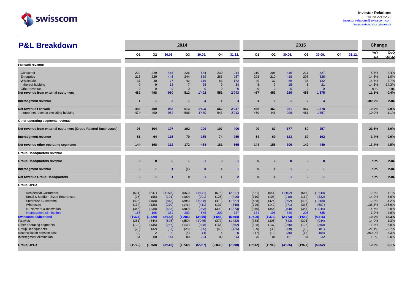

| <b>P&amp;L Breakdown</b>                                       |                |                |                      | 2014           |                         |                |                |                |                |                | 2015           |                |    |        | Change    |              |
|----------------------------------------------------------------|----------------|----------------|----------------------|----------------|-------------------------|----------------|----------------|----------------|----------------|----------------|----------------|----------------|----|--------|-----------|--------------|
|                                                                | Q1             | Q2             | 30.06.               | Q3             | 30.09.                  | Q4             | 31.12.         | Q <sub>1</sub> | Q2             | 30.06.         | Q3             | 30.09.         | Q4 | 31.12. | YoY<br>Q3 | QoQ<br>Q3/Q2 |
| <b>Fastweb revenue</b>                                         |                |                |                      |                |                         |                |                |                |                |                |                |                |    |        |           |              |
|                                                                |                |                |                      |                |                         |                |                |                |                |                |                |                |    |        |           |              |
| Consumer                                                       | 229            | 229            | 458                  | 226            | 684                     | 230            | 914            | 210            | 206            | 416            | 211            | 627            |    |        | $-6.6%$   | 2.4%         |
| Enterprise                                                     | 216            | 229            | 445                  | 244            | 689                     | 268            | 957            | 208            | 210            | 418            | 208            | 626            |    |        | $-14.8%$  | $-1.0%$      |
| Wholesale                                                      | 37             | 40             | 77                   | 42             | 119                     | 53             | 172            | 49             | 37             | 86             | 36             | 122            |    |        | $-14.3%$  | $-2.7%$      |
| thereof hubbing                                                | 9              | 9              | 18                   | $\overline{7}$ | 25                      | 9              | 34             | 8              | $\overline{7}$ | 15             | 6              | 21             |    |        | $-14.3%$  | $-14.3%$     |
| Other revenue                                                  | $\overline{0}$ | $\mathbf{0}$   | $\overline{0}$       | $\overline{0}$ | $\overline{0}$          | $\mathbf{0}$   | $\Omega$       | $\overline{0}$ | $\overline{0}$ | $\overline{0}$ | $\mathbf{0}$   | $\overline{0}$ |    |        | n.m.      | n.m.         |
| Net revenue from external customers                            | 482            | 498            | 980                  | 512            | 1'492                   | 551            | 2'043          | 467            | 453            | 920            | 455            | 1'375          |    |        | $-11.1%$  | 0.4%         |
| Intersegment revenue                                           | $\overline{1}$ | $\overline{1}$ | $\overline{2}$       | $\mathbf{1}$   | $\overline{\mathbf{3}}$ | $\mathbf{1}$   |                | $\overline{1}$ | $\bf{0}$       | $\overline{1}$ | $\overline{2}$ | -3             |    |        | 100.0%    | n.m.         |
| <b>Net revenue Fastweb</b>                                     | 483            | 499            | 982                  | 513            | 1'495                   | 552            | 2'047          | 468            | 453            | 921            | 457            | 1'378          |    |        | $-10.9%$  | 0.9%         |
| thereof net revenue excluding hubbing                          | 474            | 490            | 964                  | 506            | 1'470                   | 543            | 2'013          | 460            | 446            | 906            | 451            | 1'357          |    |        | $-10.9%$  | 1.1%         |
| Other operating segments revenue                               |                |                |                      |                |                         |                |                |                |                |                |                |                |    |        |           |              |
| Net revenue from external customers (Group Related Businesses) | 93             | 104            | 197                  | 102            | 299                     | 107            | 406            | 90             | 87             | 177            | 80             | 257            |    |        | $-21.6%$  | $-8.0%$      |
| Intersegment revenue                                           | 51             | 64             | 115                  | 70             | 185                     | 74             | 259            | 54             | 69             | 123            | 69             | 192            |    |        | $-1.4%$   | 0.0%         |
| Net revenue other operating segments                           | 144            | 168            | 312                  | 172            | 484                     | 181            | 665            | 144            | 156            | 300            | 149            | 449            |    |        | $-13.4%$  | $-4.5%$      |
| Group Headquarters revenue                                     |                |                |                      |                |                         |                |                |                |                |                |                |                |    |        |           |              |
| <b>Group Headquarters revenue</b>                              | $\Omega$       | $\bf{0}$       | $\mathbf{0}$         |                | $\blacktriangleleft$    | $\bf{0}$       |                | $\Omega$       | $\bf{0}$       | $\mathbf{0}$   | $\bf{0}$       | $\mathbf{0}$   |    |        | n.m.      | n.m.         |
| Intersegment revenue                                           | $\bf{0}$       | $\overline{1}$ | $\overline{1}$       | (1)            | $\mathbf{0}$            | $\overline{1}$ |                | $\bf{0}$       | 1              | $\overline{1}$ | $\mathbf{0}$   | -1             |    |        | n.m.      | n.m.         |
| <b>Net revenue Group Headquarters</b>                          | $\Omega$       | $\mathbf{1}$   | $\blacktriangleleft$ | $\mathbf{0}$   | $\overline{1}$          | $\mathbf{1}$   | $\overline{2}$ | $\Omega$       | $\mathbf{1}$   | $\overline{1}$ | $\mathbf{0}$   | -1             |    |        | n.m.      | n.m.         |
| <b>Group OPEX</b>                                              |                |                |                      |                |                         |                |                |                |                |                |                |                |    |        |           |              |
| <b>Residential Customers</b>                                   | (531)          | (547)          | (1'078)              | (563)          | (1'641)                 | (676)          | (2'317)        | (561)          | (541)          | (1'102)        | (547)          | (1'649)        |    |        | $-2.8%$   | 1.1%         |
| Small & Medium-Sized Enterprises                               | (95)           | (96)           | (191)                | (100)          | (291)                   | (125)          | (416)          | (110)          | (108)          | (218)          | (114)          | (332)          |    |        | 14.0%     | 5.6%         |
| <b>Enterprise Customers</b>                                    | (405)          | (408)          | (813)                | (395)          | (1'208)                 | (419)          | (1'627)        | (438)          | (424)          | (862)          | (406)          | (1'268)        |    |        | 2.8%      | $-4.2%$      |
| Wholesale                                                      | (134)          | (136)          | (270)                | (141)          | (411)                   | (137)          | (548)          | (129)          | (142)          | (271)          | (336)          | (607)          |    |        | 138.3%    | 136.6%       |
| IT, Network & Innovation                                       | (345)          | (338)          | (683)                | (300)          | (983)                   | (390)          | (1'373)        | (346)          | (354)          | (700)          | (344)          | (1'044)        |    |        | 14.7%     | $-2.8%$      |
| Intersegment elimination                                       | 186            | 196            | 382                  | 203            | 585                     | 202            | 787            | 184            | 196            | 380            | 205            | 585            |    |        | 1.0%      | 4.6%         |
| <b>Swisscom Switzerland</b>                                    | (1'324)        | (1'329)        | (2'653)              | (1'296)        | (3'949)                 | (1'545)        | (5'494)        | (1'400)        | (1'373)        | (2'773)        | (1'542)        | (4'315)        |    |        | 19.0%     | 12.3%        |
| Fastweb                                                        | (351)          | (344)          | (695)                | (350)          | (1'045)                 | (377)          | (1'422)        | (338)          | (305)          | (643)          | (301)          | (944)          |    |        | $-14.0%$  | $-1.3%$      |
| Other operating segments                                       | (122)          | (135)          | (257)                | (141)          | (398)                   | (164)          | (562)          | (128)          | (137)          | (265)          | (125)          | (390)          |    |        | $-11.3%$  | $-8.8%$      |
| <b>Group Headquarters</b>                                      | (25)           | (32)           | (57)                 | (28)           | (85)                    | (40)           | (125)          | (29)           | (30)           | (59)           | (22)           | (81)           |    |        | $-21.4%$  | $-26.7%$     |
| Reconciliation pension cost                                    | (2)            | $\overline{2}$ | $\overline{0}$       | (4)            | (4)                     | $\overline{4}$ | $\Omega$       | (17)           | (19)           | (36)           | (18)           | (54)           |    |        | 350.0%    | $-5.3%$      |
| Intersegment elimination                                       | 64             | 80             | 144                  | 80             | 224                     | 89             | 313            | 70             | 81             | 151            | 81             | 232            |    |        | 1.3%      | 0.0%         |
| <b>Group OPEX</b>                                              | (1'760)        | (1'758)        | (3'518)              | (1'739)        | (5'257)                 | (2'033)        | (7'290)        | (1'842)        | (1'783)        | (3'625)        | (1'927)        | (5'552)        |    |        | 10.8%     | 8.1%         |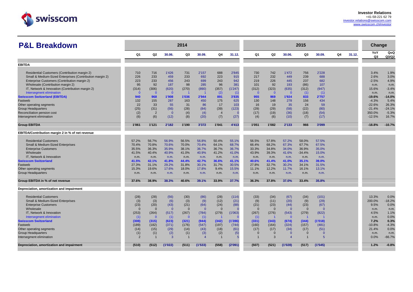

| <b>P&amp;L Breakdown</b>                                 |                       |                   |                        | 2014                  |                                 |                       |                  |                        |                      |                        | 2015                 |                  |    |        | Change       |                 |
|----------------------------------------------------------|-----------------------|-------------------|------------------------|-----------------------|---------------------------------|-----------------------|------------------|------------------------|----------------------|------------------------|----------------------|------------------|----|--------|--------------|-----------------|
|                                                          | Q1                    | Q2                | 30.06.                 | Q3                    | 30.09.                          | Q4                    | 31.12.           | Q1                     | Q2                   | 30.06.                 | Q3                   | 30.09.           | Q4 | 31.12. | YoY<br>Q3    | QoQ<br>Q3/Q2    |
|                                                          |                       |                   |                        |                       |                                 |                       |                  |                        |                      |                        |                      |                  |    |        |              |                 |
| <b>EBITDA</b>                                            |                       |                   |                        |                       |                                 |                       |                  |                        |                      |                        |                      |                  |    |        |              |                 |
| Residential Customers (Contribution margin 2)            | 710                   | 716               | 1'426                  | 731                   | 2'157                           | 688                   | 2'845            | 730                    | 742                  | 1'472                  | 756                  | 2'228            |    |        | 3.4%         | 1.9%            |
| Small & Medium-Sized Enterprises (Contribution margin 2) | 226                   | 233               | 459                    | 233                   | 692                             | 223                   | 915              | 217                    | 232                  | 449                    | 239                  | 688              |    |        | 2.6%         | 3.0%            |
| Enterprise Customers (Contribution margin 2)             | 223                   | 233               | 456                    | 243                   | 699                             | 243                   | 942              | 219                    | 226                  | 445                    | 237                  | 682              |    |        | $-2.5%$      | 4.9%            |
| Wholesale (Contribution margin 2)                        | 95                    | 92                | 187                    | 98                    | 285                             | 96                    | 381              | 101                    | 92                   | 193                    | (86)                 | 107              |    |        | n.m.         |                 |
| IT, Network & Innovation (Contribution margin 2)         | (314)                 | (306)             | (620)                  | (270)                 | (890)                           | (357)                 | (1'247)          | (312)                  | (323)                | (635)                  | (312)                | (947)            |    |        | 15.6%        | n.m.<br>$-3.4%$ |
| Intersegment elimination                                 | $\overline{0}$        | $\mathbf{0}$      | $\overline{0}$         |                       |                                 | (2)                   | (1)              | $\overline{0}$         | $\mathbf{0}$         | $\mathbf{0}$           | (1)                  | (1)              |    |        | n.m.         | n.m.            |
| <b>Swisscom Switzerland (EBITDA)</b>                     | 940                   | 968               | 1'908                  | 1'036                 | 2'944                           | 891                   | 3'835            | 955                    | 969                  | 1'924                  | 833                  | 2'757            |    |        | $-19.6%$     | $-14.0%$        |
| Fastweb                                                  | 132                   | 155               | 287                    | 163                   | 450                             | 175                   | 625              | 130                    | 148                  | 278                    | 156                  | 434              |    |        | $-4.3%$      | 5.4%            |
| Other operating segments                                 | 22                    | 33                | 55                     | 31                    | 86                              | 17                    | 103              | 16                     | 19                   | 35                     | 24                   | 59               |    |        | $-22.6%$     | 26.3%           |
| <b>Group Headquarters</b>                                | (25)                  | (31)              | (56)                   | (28)                  | (84)                            | (39)                  | (123)            | (29)                   | (29)                 | (58)                   | (22)                 | (80)             |    |        | $-21.4%$     | $-24.1%$        |
| Reconciliation pension cost                              | (2)                   | $\overline{2}$    | $\overline{0}$         | (4)                   | (4)                             | $\overline{4}$        | $\sqrt{ }$       | (17)                   | (19)                 | (36)                   | (18)                 | (54)             |    |        | 350.0%       | $-5.3%$         |
| Intersegment elimination                                 | (6)                   | (6)               | (12)                   | (8)                   | (20)                            | (7)                   | (27)             | (4)                    | (6)                  | (10)                   | (7)                  | (17)             |    |        | $-12.5%$     | 16.7%           |
|                                                          |                       |                   |                        |                       |                                 |                       |                  |                        |                      |                        |                      |                  |    |        |              |                 |
| <b>Group EBITDA</b>                                      | 1'061                 | 1'121             | 2'182                  | 1'190                 | 3'372                           | 1'041                 | 4'413            | 1'051                  | 1'082                | 2'133                  | 966                  | 3'099            |    |        | $-18.8%$     | $-10.7%$        |
| EBITDA/Contribution margin 2 in % of net revenue         |                       |                   |                        |                       |                                 |                       |                  |                        |                      |                        |                      |                  |    |        |              |                 |
| <b>Residential Customers</b>                             | 57.2%                 | 56.7%             | 56.9%                  | 56.5%                 | 56.8%                           | 50.4%                 | 55.1%            | 56.5%                  | 57.8%                | 57.2%                  | 58.0%                | 57.5%            |    |        |              |                 |
| Small & Medium-Sized Enterprises                         | 70.4%                 | 70.8%             | 70.6%                  | 70.0%                 | 70.4%                           | 64.1%                 | 68.7%            | 66.4%                  | 68.2%                | 67.3%                  | 67.7%                | 67.5%            |    |        |              |                 |
| <b>Enterprise Customers</b>                              | 35.5%                 | 36.3%             | 35.9%                  | 38.1%                 | 36.7%                           | 36.7%                 | 36.7%            | 33.3%                  | 34.8%                | 34.0%                  | 36.9%                | 35.0%            |    |        |              |                 |
| Wholesale                                                | 41.5%                 | 40.4%             | 40.9%                  | 41.0%                 | 40.9%                           | 41.2%                 | 41.0%            | 43.9%                  | 39.3%                | 41.6%                  | $-34.4%$             | 15.0%            |    |        |              |                 |
| IT. Network & Innovation                                 | n.m.                  | n.m.              | n.m.                   | n.m.                  | n.m.                            | n.m.                  | n.m.             | n.m.                   | n.m.                 | n.m.                   | n.m.                 | n.m.             |    |        |              |                 |
| <b>Swisscom Switzerland</b>                              | 41.5%                 | 42.1%             | 41.8%                  | 44.4%                 | 42.7%                           | 36.6%                 | 41.1%            | 40.6%                  | 41.4%                | 41.0%                  | 35.1%                | 39.0%            |    |        |              |                 |
| Fastweb                                                  | 27.3%                 | 31.1%             | 29.2%                  | 31.8%                 | 30.1%                           | 31.7%                 | 30.5%            | 27.8%                  | 32.7%                | 30.2%                  | 34.1%                | 31.5%            |    |        |              |                 |
| Other operating segments                                 | 15.3%                 | 19.6%             | 17.6%                  | 18.0%                 | 17.8%                           | 9.4%                  | 15.5%            | 11.1%                  | 12.2%                | 11.7%                  | 16.1%                | 13.1%            |    |        |              |                 |
| <b>Group Headquarters</b>                                | n.m.                  | n.m.              | n.m.                   | n.m.                  | n.m.                            | n.m.                  | n.m.             | n.m.                   | n.m.                 | n.m                    | n.m.                 | n.m.             |    |        |              |                 |
| Group EBITDA in % of net revenue                         | 37.6%                 | 38.9%             | 38.3%                  | 40.6%                 | 39.1%                           | 33.9%                 | 37.7%            | 36.3%                  | 37.8%                | 37.0%                  | 33.4%                | 35.8%            |    |        |              |                 |
| Depreciation, amortization and impairment                |                       |                   |                        |                       |                                 |                       |                  |                        |                      |                        |                      |                  |    |        |              |                 |
|                                                          |                       |                   |                        |                       |                                 |                       |                  |                        |                      |                        |                      |                  |    |        |              |                 |
| <b>Residential Customers</b>                             | (28)                  | (28)              | (56)                   | (30)                  | (86)                            | (28)                  | (114)            | (33)                   | (34)                 | (67)                   | (34)                 | (101)            |    |        | 13.3%        | 0.0%            |
| Small & Medium-Sized Enterprises                         | (3)                   | (3)               | (6)                    | (3)                   | (9)                             | (12)                  | (21)             | (9)                    | (11)                 | (20)                   | (9)                  | (29)             |    |        | 200.0%       | $-18.2%$        |
| <b>Enterprise Customers</b><br>Wholesale                 | (23)<br>$\Omega$      | (20)<br>$\Omega$  | (43)<br>$\overline{0}$ | (21)<br>$\mathbf{0}$  | (64)<br>$\overline{0}$          | (24)<br>$\mathbf{0}$  | (88)             | (21)<br>$\overline{0}$ | (23)<br>$\mathbf{0}$ | (44)<br>$\overline{0}$ | (23)<br>$\mathbf{0}$ | (67)<br>$\Omega$ |    |        | 9.5%         | 0.0%            |
|                                                          |                       |                   |                        |                       |                                 |                       |                  |                        |                      |                        |                      |                  |    |        | n.m.         | n.m.            |
| IT, Network & Innovation                                 | (253)                 | (264)<br>$\Omega$ | (517)                  | (267)<br>$\Omega$     | (784)                           | (279)                 | (1'063)          | (267)                  | (276)                | (543)<br>$\mathbf{0}$  | (279)                | (822)            |    |        | 4.5%         | 1.1%            |
| Intersegment elimination                                 | (1)                   |                   | (1)                    |                       | (1)                             |                       |                  | (1)                    |                      |                        |                      |                  |    |        | n.m.<br>7.2% | 0.0%<br>0.3%    |
| <b>Swisscom Switzerland</b><br>Fastweb                   | (308)<br>(189)        | (315)<br>(182)    | (623)<br>(371)         | (321)<br>(176)        | (944)<br>(547)                  | (342)<br>(197)        | (1'286)<br>(744) | (331)<br>(160)         | (343)<br>(164)       | (674)<br>(324)         | (344)<br>(157)       | (1'018)<br>(481) |    |        | $-10.8%$     | $-4.3%$         |
| Other operating segments                                 | (14)                  |                   | (29)                   |                       | (43)                            | (18)                  |                  |                        | (17)                 | (34)                   | (17)                 |                  |    |        | 21.4%        | 0.0%            |
|                                                          |                       | (15)              |                        | (14)                  |                                 |                       | (61)             | (17)<br>$\Omega$       | $\Omega$             | $\Omega$               | $\Omega$             | (51)<br>$\Omega$ |    |        |              | n.m.            |
| <b>Group Headquarters</b><br>Intersegment elimination    | (1)<br>$\overline{2}$ | (1)               | (2)<br>$\overline{3}$  | (1)<br>$\overline{1}$ | (3)<br>$\boldsymbol{\varDelta}$ | (2)<br>$\overline{1}$ | (5)              |                        | 3                    | ⊿                      |                      | 5                |    |        | n.m.<br>0.0% | $-66.7%$        |
|                                                          |                       |                   |                        |                       |                                 |                       |                  |                        |                      |                        |                      |                  |    |        |              |                 |
| Depreciation, amortization and impairment                | (510)                 | (512)             | (1'022)                | (511)                 | (1'533)                         | (558)                 | (2'091)          | (507)                  | (521)                | (1'028)                | (517)                | (1'545)          |    |        | 1.2%         | $-0.8%$         |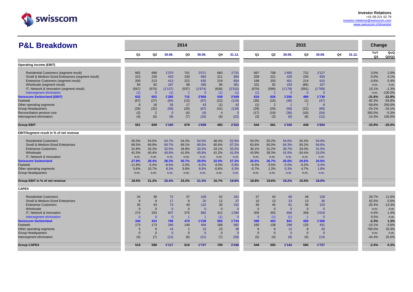

| <b>P&amp;L Breakdown</b>                                                                   |                |                |                         | 2014                     |                         |                |                |                |                        |                        | 2015                  |                |    |        | Change               |                    |
|--------------------------------------------------------------------------------------------|----------------|----------------|-------------------------|--------------------------|-------------------------|----------------|----------------|----------------|------------------------|------------------------|-----------------------|----------------|----|--------|----------------------|--------------------|
|                                                                                            | Q <sub>1</sub> | Q2             | 30.06.                  | Q3                       | 30.09.                  | Q4             | 31.12.         | Q <sub>1</sub> | Q <sub>2</sub>         | 30.06.                 | Q3                    | 30.09.         | Q4 | 31.12. | YoY<br>Q3            | QoQ<br>Q3/Q2       |
| <b>Operating income (EBIT)</b>                                                             |                |                |                         |                          |                         |                |                |                |                        |                        |                       |                |    |        |                      |                    |
|                                                                                            |                | 688            |                         |                          | 2'071                   |                |                |                |                        |                        | 722                   | 2'127          |    |        |                      | 2.0%               |
| Residential Customers (segment result)                                                     | 682<br>223     | 230            | 1'370<br>453            | 701<br>230               | 683                     | 660<br>211     | 2'731<br>894   | 697<br>208     | 708<br>221             | 1'405<br>429           | 230                   | 659            |    |        | 3.0%<br>0.0%         | 4.1%               |
| Small & Medium-Sized Enterprises (segment result)<br>Enterprise Customers (segment result) | 200            | 213            | 413                     | 222                      | 635                     | 219            | 854            | 198            | 203                    | 401                    | 214                   | 615            |    |        | $-3.6%$              | 5.4%               |
| Wholesale (segment result)                                                                 | 95             | 92             | 187                     | 98                       | 285                     | 96             | 381            | 101            | 92                     | 193                    | (86)                  | 107            |    |        |                      | n.m.               |
| IT, Network & Innovation (segment result)                                                  | (567)          | (570)          | (1'137)                 | (537)                    | (1'674)                 | (636)          | (2'310)        | (579)          | (599)                  | (1'178)                | (591)                 | (1'769)        |    |        | n.m.<br>10.1%        | $-1.3%$            |
|                                                                                            |                | $\mathbf{0}$   |                         |                          | $\Omega$                |                |                |                |                        | $\mathbf{0}$           | $\mathbf{0}$          | $\Omega$       |    |        |                      | $-100.0%$          |
| Intersegment elimination                                                                   | (1)            |                | (1)                     |                          |                         | (1)            | (1)            | (1)            |                        |                        |                       |                |    |        | n.m.<br>$-31.6%$     | $-21.9%$           |
| <b>Swisscom Switzerland (EBIT)</b>                                                         | 632            | 653            | 1'285                   | 715                      | 2'000                   | 549            | 2'549          | 624            | 626                    | 1'250                  | 489                   | 1'739          |    |        |                      |                    |
| Fastweb                                                                                    | (57)<br>-8     | (27)<br>18     | (84)<br>26              | (13)<br>17               | (97)<br>43              | (22)           | (119)<br>42    | (30)           | (16)<br>$\overline{2}$ | (46)<br>$\overline{1}$ | (1)<br>$\overline{7}$ | (47)<br>-8     |    |        | $-92.3%$<br>$-58.8%$ | $-93.8%$<br>250.0% |
| Other operating segments                                                                   |                |                |                         |                          |                         | (1)            |                | (1)            |                        |                        |                       |                |    |        | $-24.1%$             | $-24.1%$           |
| <b>Group Headquarters</b>                                                                  | (26)           | (32)           | (58)                    | (29)                     | (87)                    | (41)           | (128)          | (29)           | (29)                   | (58)                   | (22)                  | (80)           |    |        |                      |                    |
| Reconciliation pension cost                                                                | (2)            | $\overline{2}$ | $\overline{0}$          | (4)                      | (4)                     | $\overline{4}$ | $\Omega$       | (17)           | (19)                   | (36)                   | (18)                  | (54)           |    |        | 350.0%               | $-5.3%$            |
| Intersegment elimination                                                                   | (4)            | (5)            | (9)                     | (7)                      | (16)                    | (6)            | (22)           | (3)            | (3)                    | (6)                    | (6)                   | (12)           |    |        | $-14.3%$             | 100.0%             |
| <b>Group EBIT</b>                                                                          | 551            | 609            | 1'160                   | 679                      | 1'839                   | 483            | 2'322          | 544            | 561                    | 1'105                  | 449                   | 1'554          |    |        | $-33.9%$             | $-20.0%$           |
| EBIT/Segment result in % of net revenue                                                    |                |                |                         |                          |                         |                |                |                |                        |                        |                       |                |    |        |                      |                    |
| <b>Residential Customers</b>                                                               | 55.0%          | 54.5%          | 54.7%                   | 54.2%                    | 54.5%                   | 48.4%          | 52.9%          | 54.0%          | 55.2%                  | 54.6%                  | 55.4%                 | 54.9%          |    |        |                      |                    |
| Small & Medium-Sized Enterprises                                                           | 69.5%          | 69.9%          | 69.7%                   | 69.1%                    | 69.5%                   | 60.6%          | 67.2%          | 63.6%          | 65.0%                  | 64.3%                  | 65.2%                 | 64.6%          |    |        |                      |                    |
| <b>Enterprise Customers</b>                                                                | 31.8%          | 33.2%          | 32.5%                   | 34.8%                    | 33.3%                   | 33.1%          | 33.2%          | 30.1%          | 31.2%                  | 30.7%                  | 33.3%                 | 31.5%          |    |        |                      |                    |
| Wholesale                                                                                  | 41.5%          | 40.4%          | 40.9%                   | 41.0%                    | 40.9%                   | 41.2%          | 41.0%          | 43.9%          | 39.3%                  | 41.6%                  | $-34.4%$              | 15.0%          |    |        |                      |                    |
| IT. Network & Innovation                                                                   | n.m.           | n.m.           | n.m.                    | n.m.                     | n.m.                    | n.m.           | n.m            | n.m.           | n.m.                   | n.m.                   | n.m.                  | n.m.           |    |        |                      |                    |
| <b>Swisscom Switzerland</b>                                                                | 27.9%          | 28.4%          | 28.2%                   | 30.7%                    | 29.0%                   | 22.5%          | 27.3%          | 26.5%          | 26.7%                  | 26.6%                  | 20.6%                 | 24.6%          |    |        |                      |                    |
| Fastweb                                                                                    | $-11.8%$       | $-5.4%$        | $-8.6%$                 | $-2.5%$                  | $-6.5%$                 | $-4.0%$        | $-5.8%$        | $-6.4%$        | $-3.5%$                | $-5.0%$                | $-0.2%$               | $-3.4%$        |    |        |                      |                    |
| Other operating segments                                                                   | 5.6%           | 10.7%          | 8.3%                    | 9.9%                     | 8.9%                    | $-0.6%$        | 6.3%           | $-0.7%$        | 1.3%                   | 0.3%                   | 4.7%                  | 1.8%           |    |        |                      |                    |
| <b>Group Headquarters</b>                                                                  | n.m.           | n.m.           | n.m.                    | n.m.                     | n.m.                    | n.m.           | n.m.           | n.m.           | n.m.                   | n.m.                   | n.m.                  | n.m.           |    |        |                      |                    |
| Group EBIT in % of net revenue                                                             | 19.5%          | 21.2%          | 20.4%                   | 23.2%                    | 21.3%                   | 15.7%          | 19.8%          | 18.8%          | 19.6%                  | 19.2%                  | 15.5%                 | 18.0%          |    |        |                      |                    |
| <b>CAPEX</b>                                                                               |                |                |                         |                          |                         |                |                |                |                        |                        |                       |                |    |        |                      |                    |
| <b>Residential Customers</b>                                                               | 34             | 38             | 72                      | 37                       | 109                     | 52             | 161            | 37             | 43                     | 80                     | 48                    | 128            |    |        | 29.7%                | 11.6%              |
| Small & Medium-Sized Enterprises                                                           | 8              | 9              | 17                      | 8                        | 25                      | 12             | 37             | 10             | 13                     | 23                     | 13                    | 36             |    |        | 62.5%                | 0.0%               |
| <b>Enterprise Customers</b>                                                                | 30             | 43             | 73                      | 49                       | 122                     | 30             | 152            | 36             | 45                     | 81                     | 39                    | 120            |    |        | $-20.4%$             | $-13.3%$           |
| Wholesale                                                                                  | $\overline{0}$ | $\Omega$       | $\overline{\mathbf{0}}$ | $\mathbf{0}$             | $\mathbf{0}$            | $\mathbf{0}$   | $\Omega$       | $\overline{0}$ | $\mathbf{0}$           | $\mathbf{0}$           | $\mathbf{0}$          | $\Omega$       |    |        | n.m.                 | n.m.               |
| IT, Network & Innovation                                                                   | 274            | 333            | 607                     | 375                      | 982                     | 412            | 1'394          | 305            | 353                    | 658                    | 358                   | 1'016          |    |        | $-4.5%$              | 1.4%               |
| Intersegment elimination                                                                   | $\overline{0}$ | $\overline{0}$ | $\overline{0}$          | $\overline{\phantom{0}}$ | $\overline{\mathbf{1}}$ | (1)            |                | $\Omega$       | (1)                    | (1)                    | $\overline{1}$        | $\Omega$       |    |        | 0.0%                 | n.m.               |
| <b>Swisscom Switzerland</b>                                                                | 346            | 423            | 769                     | 470                      | 1'239                   | 505            | 1'744          | 388            | 453                    | 841                    | 459                   | 1'300          |    |        | $-2.3%$              | 1.3%               |
| Fastweb                                                                                    | 173            | 173            | 346                     | 148                      | 494                     | 188            | 682            | 160            | 138                    | 298                    | 133                   | 431            |    |        | $-10.1%$             | $-3.6%$            |
| Other operating segments                                                                   | 5              | 9              | 14                      |                          | 15                      | 23             | 38             | 6              | 6                      | 12                     | 8                     | 20             |    |        | 700.0%               | 33.3%              |
| <b>Group Headquarters</b>                                                                  | $\overline{0}$ | $\mathbf{0}$   | $\overline{0}$          | $\mathbf{0}$             | $\overline{0}$          | $\mathbf{0}$   | $\overline{0}$ | $\overline{0}$ | $\mathbf{0}$           | $\overline{0}$         | $\mathbf{0}$          | $\overline{0}$ |    |        | n.m.                 | n.m.               |
| Intersegment elimination                                                                   | (5)            | (7)            | (12)                    | (9)                      | (21)                    | (7)            | (28)           | (5)            | (4)                    | (9)                    | (5)                   | (14)           |    |        | $-44.4%$             | 25.0%              |
| <b>Group CAPEX</b>                                                                         | 519            | 598            | 1'117                   | 610                      | 1'727                   | 709            | 2'436          | 549            | 593                    | 1'142                  | 595                   | 1'737          |    |        | $-2.5%$              | 0.3%               |
|                                                                                            |                |                |                         |                          |                         |                |                |                |                        |                        |                       |                |    |        |                      |                    |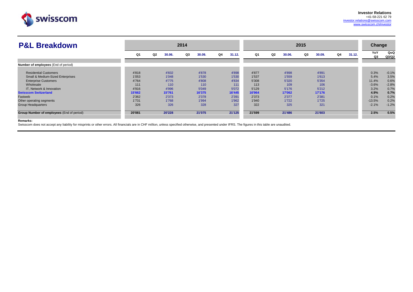

| Q1     | Q2<br>30.06. | Q3<br>30.09. | Q4<br>31.12.  | Q1     | Q <sub>2</sub><br>30.06. | Q3<br>30.09. | Q4<br>31.12.  | YoY<br>Q3 | QoQ<br>Q3/Q2          |
|--------|--------------|--------------|---------------|--------|--------------------------|--------------|---------------|-----------|-----------------------|
|        |              |              |               |        |                          |              |               |           |                       |
|        |              |              |               | 4'877  |                          |              |               |           | $-0.1%$               |
| 1'053  | 1'048        | 1'530        | 1'530         | 1'537  | 1'559                    | 1'613        |               | 5.4%      | 3.5%                  |
| 4'764  | 4'775        | 4'808        | 4'834         | 5'308  | 5'320                    | 5'354        |               | 11.4%     | 0.6%                  |
| 111    | 110          | 110          | 111           | 113    | 109                      | 106          |               | $-3.6%$   | $-2.8%$               |
| 4'916  | 4'996        | 5'049        | 5'072         | 5'129  | 5'176                    | 5'212        |               | 3.2%      | 0.7%                  |
| 15'662 | 15'761       | 16'375       | 16'445        | 16'964 | 17'062                   | 17'176       |               | 4.9%      | 0.7%                  |
| 2'362  | 2'373        | 2'378        | 2'391         | 2'373  | 2'377                    | 2'381        |               | 0.1%      | 0.2%                  |
| 1'731  | 1'768        | 1'994        | 1'962         | 1'940  | 1'722                    | 1'725        |               | $-13.5%$  | 0.2%                  |
| 326    | 326          | 328          | 327           | 322    | 325                      | 321          |               | $-2.1%$   | $-1.2%$               |
| 20'081 | 20'228       | 21'075       | 21'125        | 21'599 | 21'486                   | 21'603       |               | 2.5%      | 0.5%                  |
|        | 4'818        | 4'832        | 2014<br>4'878 | 4'898  |                          | 4'898        | 2015<br>4'891 |           | <b>Change</b><br>0.3% |

#### **Remarks:**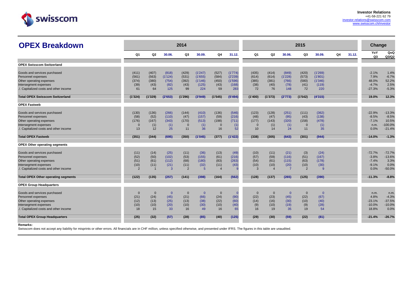

| <b>OPEX Breakdown</b>                      |               |                |                | 2014           |                |                |              |               |                |                | 2015           |              |    |        | Change                |              |
|--------------------------------------------|---------------|----------------|----------------|----------------|----------------|----------------|--------------|---------------|----------------|----------------|----------------|--------------|----|--------|-----------------------|--------------|
|                                            | Q1            | Q <sub>2</sub> | 30.06.         | Q3             | 30.09.         | Q4             | 31.12.       | Q1            | Q2             | 30.06.         | Q3             | 30.09.       | Q4 | 31.12. | YoY<br>Q <sub>3</sub> | QoQ<br>Q3/Q2 |
| <b>OPEX Swisscom Switzerland</b>           |               |                |                |                |                |                |              |               |                |                |                |              |    |        |                       |              |
| Goods and services purchased               | (411)         | (407)          | (818)          | (429)          | (1'247)        | (527)          | (1'774)      | (435)         | (414)          | (849)          | (420)          | (1'269)      |    |        | $-2.1%$               | 1.4%         |
| Personnel expenses                         | (561)         | (563)          | (1'124)        | (531)          | (1'655)        | (584)          | (2'239)      | (614)         | (614)          | (1'228)        | (573)          | (1'801)      |    |        | 7.9%                  | $-6.7%$      |
| Other operating expenses                   | (374)         | (380)          | (754)          | (392)          | (1'146)        | (450)          | (1'596)      | (385)         | (381)          | (766)          | (580)          | (1'346)      |    |        | 48.0%                 | 52.2%        |
| Intersegment expenses                      | (39)          | (43)           | (82)           | (43)           | (125)          | (43)           | (168)        | (38)          | (40)           | (78)           | (41)           | (119)        |    |        | $-4.7%$               | 2.5%         |
| ./. Capitalized costs and other income     | 61            | 64             | 125            | 99             | 224            | 59             | 283          | 72            | 76             | 148            | 72             | 220          |    |        | $-27.3%$              | $-5.3%$      |
| <b>Total OPEX Swisscom Switzerland</b>     | (1'324)       | (1'329)        | (2'653)        | (1'296)        | (3'949)        | (1'545)        | (5'494)      | (1'400)       | (1'373)        | (2'773)        | (1'542)        | (4'315)      |    |        | 19.0%                 | 12.3%        |
| <b>OPEX Fastweb</b>                        |               |                |                |                |                |                |              |               |                |                |                |              |    |        |                       |              |
| Goods and services purchased               | (130)         | (136)          | (266)          | (144)          | (410)          | (136)          | (546)        | (123)         | (128)          | (251)          | (111)          | (362)        |    |        | $-22.9%$              | $-13.3%$     |
| Personnel expenses                         | (58)          | (52)           | (110)          | (47)           | (157)          | (59)           | (216)        | (48)          | (47)           | (95)           | (43)           | (138)        |    |        | $-8.5%$               | $-8.5%$      |
| Other operating expenses                   | (176)         | (167)          | (343)          | (170)          | (513)          | (198)          | (711)        | (177)         | (143)          | (320)          | (158)          | (478)        |    |        | $-7.1%$               | 10.5%        |
| Intersegment expenses                      | $\Omega$      | (1)            | (1)            | $\mathbf{0}$   | (1)            | $\mathbf 0$    | (1)          | $\mathbf{0}$  | (1)            | (1)            | $\mathbf{0}$   | (1)          |    |        | n.m.                  | $-100.0%$    |
| ./. Capitalized costs and other income     | 13            | 12             | 25             | 11             | 36             | 16             | 52           | 10            | 14             | 24             | 11             | 35           |    |        | 0.0%                  | $-21.4%$     |
| <b>Total OPEX Fastweb</b>                  | (351)         | (344)          | (695)          | (350)          | (1'045)        | (377)          | (1'422)      | (338)         | (305)          | (643)          | (301)          | (944)        |    |        | $-14.0%$              | $-1.3%$      |
| <b>OPEX Other operating segments</b>       |               |                |                |                |                |                |              |               |                |                |                |              |    |        |                       |              |
| Goods and services purchased               | (11)          | (14)           | (25)           | (11)           | (36)           | (13)           | (49)         | (10)          | (11)           | (21)           | (3)            | (24)         |    |        | $-72.7%$              | $-72.7%$     |
| Personnel expenses                         | (52)          | (50)           | (102)          | (53)           | (155)          | (61)           | (216)        | (57)          | (59)           | (116)          | (51)           | (167)        |    |        | $-3.8%$               | $-13.6%$     |
| Other operating expenses                   | (51)          | (61)           | (112)          | (68)           | (180)          | (83)           | (263)        | (54)          | (61)           | (115)          | (63)           | (178)        |    |        | $-7.4%$               | 3.3%         |
| Intersegment expenses                      | (10)          | (11)           | (21)           | (11)           | (32)           | (11)           | (43)         | (10)          | (10)           | (20)           | (10)           | (30)         |    |        | $-9.1%$               | 0.0%         |
| ./. Capitalized costs and other income     | $\mathcal{P}$ | $\overline{1}$ | $\overline{3}$ | 2              | -5             | $\overline{4}$ | $\mathbf{q}$ | $\mathcal{R}$ | $\overline{4}$ | $\overline{7}$ | $\overline{2}$ | $\mathbf{Q}$ |    |        | 0.0%                  | $-50.0%$     |
| <b>Total OPEX Other operating segments</b> | (122)         | (135)          | (257)          | (141)          | (398)          | (164)          | (562)        | (128)         | (137)          | (265)          | (125)          | (390)        |    |        | $-11.3%$              | $-8.8%$      |
| <b>OPEX Group Headquarters</b>             |               |                |                |                |                |                |              |               |                |                |                |              |    |        |                       |              |
| Goods and services purchased               | $\Omega$      | $\mathbf 0$    | $\mathbf{0}$   | $\overline{0}$ | $\overline{0}$ | $\mathbf{0}$   | $\Omega$     | $\mathbf 0$   | $\mathbf{0}$   | $\Omega$       | $\mathbf 0$    | $\Omega$     |    |        | n.m.                  | n.m.         |
| Personnel expenses                         | (21)          | (24)           | (45)           | (21)           | (66)           | (24)           | (90)         | (22)          | (23)           | (45)           | (22)           | (67)         |    |        | 4.8%                  | $-4.3%$      |
| Other operating expenses                   | (12)          | (13)           | (25)           | (13)           | (38)           | (22)           | (60)         | (14)          | (16)           | (30)           | (10)           | (40)         |    |        | $-23.1%$              | $-37.5%$     |
| Intersegment expenses                      | (10)          | (10)           | (20)           | (10)           | (30)           | (10)           | (40)         | (9)           | (10)           | (19)           | (9)            | (28)         |    |        | $-10.0%$              | $-10.0%$     |
| ./. Capitalized costs and other income     | 18            | 15             | 33             | 16             | 49             | 16             | 65           | 16            | 19             | 35             | 19             | 54           |    |        | 18.8%                 | 0.0%         |
| <b>Total OPEX Group Headquarters</b>       | (25)          | (32)           | (57)           | (28)           | (85)           | (40)           | (125)        | (29)          | (30)           | (59)           | (22)           | (81)         |    |        | $-21.4%$              | $-26.7%$     |

#### **Remarks:**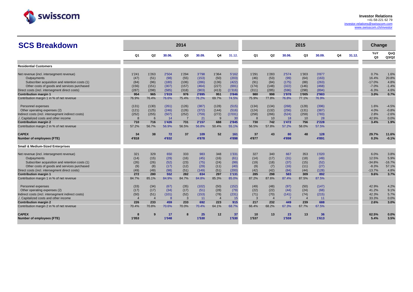

| <b>SCS Breakdown</b>                               |                |                |        | 2014  |        |                |         |                |                |        | 2015           |        |    |        | Change                |              |
|----------------------------------------------------|----------------|----------------|--------|-------|--------|----------------|---------|----------------|----------------|--------|----------------|--------|----|--------|-----------------------|--------------|
|                                                    | Q1             | Q2             | 30.06. | Q3    | 30.09. | Q <sub>4</sub> | 31.12.  | Q1             | Q <sub>2</sub> | 30.06. | Q3             | 30.09. | Q4 | 31.12. | YoY<br>Q <sub>3</sub> | QoQ<br>Q3/Q2 |
| <b>Residential Customers</b>                       |                |                |        |       |        |                |         |                |                |        |                |        |    |        |                       |              |
|                                                    |                |                |        |       |        |                |         |                |                |        |                |        |    |        |                       |              |
| Net revenue (incl. intersegment revenue)           | 1'241          | 1'263          | 2'504  | 1'294 | 3'798  | 1'364          | 5'162   | 1'291          | 1'283          | 2'574  | 1'303          | 3'877  |    |        | 0.7%                  | 1.6%         |
| Outpayments                                        | (47)           | (51)           | (98)   | (55)  | (153)  | (50)           | (203)   | (46)           | (53)           | (99)   | (64)           | (163)  |    |        | 16.4%                 | 20.8%        |
| Subscriber acquisition and retention costs (1)     | (84)           | (96)           | (180)  | (106) | (286)  | (136)          | (422)   | (91)           | (84)           | (175)  | (88)           | (263)  |    |        | $-17.0%$              | 4.8%         |
| Other costs of goods and services purchased        | (156)          | (151)          | (307)  | (157) | (464)  | (227)          | (691)   | (174)          | (148)          | (322)  | (146)          | (468)  |    |        | $-7.0%$               | $-1.4%$      |
| Direct costs (incl. intersegment direct costs)     | (287)          | (298)          | (585)  | (318) | (903)  | (413)          | (1'316) | (311)          | (285)          | (596)  | (298)          | (894)  |    |        | $-6.3%$               | 4.6%         |
| <b>Contribution margin 1</b>                       | 954            | 965            | 1'919  | 976   | 2'895  | 951            | 3'846   | 980            | 998            | 1'978  | 1'005          | 2'983  |    |        | 3.0%                  | 0.7%         |
| Contribution margin 1 in % of net revenue          | 76.9%          | 76.4%          | 76.6%  | 75.4% | 76.2%  | 69.7%          | 74.5%   | 75.9%          | 77.8%          | 76.8%  | 77.1%          | 76.9%  |    |        |                       |              |
| Personnel expenses                                 | (131)          | (130)          | (261)  | (126) | (387)  | (128)          | (515)   | (134)          | (134)          | (268)  | (128)          | (396)  |    |        | 1.6%                  | $-4.5%$      |
| Other operating expenses (2)                       | (121)          | (125)          | (246)  | (126) | (372)  | (144)          | (516)   | (124)          | (132)          | (256)  | (131)          | (387)  |    |        | 4.0%                  | $-0.8%$      |
| Indirect costs (incl. intersegment indirect costs) | (252)          | (255)          | (507)  | (252) | (759)  | (272)          | (1'031) | (258)          | (266)          | (524)  | (259)          | (783)  |    |        | 2.8%                  | $-2.6%$      |
| ./. Capitalized costs and other income             | -8             | 6              | 14     | -7    | 21     | -9             | 30      | 8              | 10             | 18     | 10             | 28     |    |        | 42.9%                 | 0.0%         |
| <b>Contribution margin 2</b>                       | 710            | 716            | 1'426  | 731   | 2'157  | 688            | 2'845   | 730            | 742            | 1'472  | 756            | 2'228  |    |        | 3.4%                  | 1.9%         |
| Contribution margin 2 in % of net revenue          | 57.2%          | 56.7%          | 56.9%  | 56.5% | 56.8%  | 50.4%          | 55.1%   | 56.5%          | 57.8%          | 57.2%  | 58.0%          | 57.5%  |    |        |                       |              |
| <b>CAPEX</b>                                       | 34             | 38             | 72     | 37    | 109    | 52             | 161     | 37             | 43             | 80     | 48             | 128    |    |        | 29.7%                 | 11.6%        |
| Number of employees (FTE)                          | 4'818          |                | 4'832  |       | 4'878  |                | 4'898   | 4'877          |                | 4'898  |                | 4'891  |    |        | 0.3%                  | $-0.1%$      |
| <b>Small &amp; Medium-Sized Enterprises</b>        |                |                |        |       |        |                |         |                |                |        |                |        |    |        |                       |              |
| Net revenue (incl. intersegment revenue)           | 321            | 329            | 650    | 333   | 983    | 348            | 1'331   | 327            | 340            | 667    | 353            | 1'020  |    |        | 6.0%                  | 3.8%         |
| Outpayments                                        | (14)           | (15)           | (29)   | (16)  | (45)   | (16)           | (61)    | (14)           | (17)           | (31)   | (18)           | (49)   |    |        | 12.5%                 | 5.9%         |
| Subscriber acquisition and retention costs (1)     | (26)           | (26)           | (52)   | (23)  | (75)   | (24)           | (99)    | (19)           | (18)           | (37)   | (15)           | (52)   |    |        | $-34.8%$              | $-16.7%$     |
| Other costs of goods and services purchased        | (9)            | (8)            | (17)   | (12)  | (29)   | (11)           | (40)    | (9)            | (7)            | (16)   | (11)           | (27)   |    |        | $-8.3%$               | 57.1%        |
| Direct costs (incl. intersegment direct costs)     | (49)           | (49)           | (98)   | (51)  | (149)  | (51)           | (200)   | (42)           | (42)           | (84)   | (44)           | (128)  |    |        | $-13.7%$              | 4.8%         |
| <b>Contribution margin 1</b>                       | 272            | 280            | 552    | 282   | 834    | 297            | 1'131   | 285            | 298            | 583    | 309            | 892    |    |        | 9.6%                  | 3.7%         |
| Contribution margin 1 in % of net revenue          | 84.7%          | 85.1%          | 84.9%  | 84.7% | 84.8%  | 85.3%          | 85.0%   | 87.2%          | 87.6%          | 87.4%  | 87.5%          | 87.5%  |    |        |                       |              |
| Personnel expenses                                 | (33)           | (34)           | (67)   | (35)  | (102)  | (50)           | (152)   | (49)           | (48)           | (97)   | (50)           | (147)  |    |        | 42.9%                 | 4.2%         |
| Other operating expenses (2)                       | (17)           | (17)           | (34)   | (17)  | (51)   | (28)           | (79)    | (22)           | (22)           | (44)   | (24)           | (68)   |    |        | 41.2%                 | 9.1%         |
| Indirect costs (incl. intersegment indirect costs) | (50)           | (51)           | (101)  | (52)  | (153)  | (78)           | (231)   | (71)           | (70)           | (141)  | (74)           | (215)  |    |        | 42.3%                 | 5.7%         |
| . Capitalized costs and other income               | $\overline{4}$ | $\overline{4}$ | -8     | 3     | 11     | $\overline{4}$ | 15      | $\overline{3}$ | $\overline{4}$ |        | $\overline{4}$ | 11     |    |        | 33.3%                 | 0.0%         |
| <b>Contribution margin 2</b>                       | 226            | 233            | 459    | 233   | 692    | 223            | 915     | 217            | 232            | 449    | 239            | 688    |    |        | 2.6%                  | 3.0%         |
| Contribution margin 2 in % of net revenue          | 70.4%          | 70.8%          | 70.6%  | 70.0% | 70.4%  | 64.1%          | 68.7%   | 66.4%          | 68.2%          | 67.3%  | 67.7%          | 67.5%  |    |        |                       |              |
| <b>CAPEX</b>                                       | 8              | 9              | 17     | 8     | 25     | 12             | 37      | 10             | 13             | 23     | 13             | 36     |    |        | 62.5%                 | 0.0%         |
| Number of employees (FTE)                          | 1'053          |                | 1'048  |       | 1'530  |                | 1'530   | 1'537          |                | 1'559  |                | 1'613  |    |        | 5.4%                  | 3.5%         |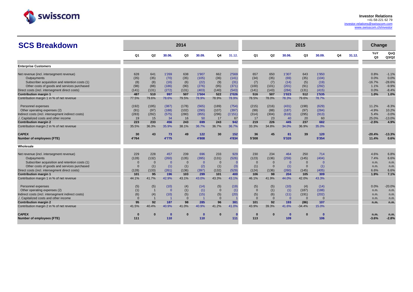

| <b>SCS Breakdown</b>                               |          |                |                | 2014     |                |                |          |                |                |                | 2015         |          |                |        | Change                |              |
|----------------------------------------------------|----------|----------------|----------------|----------|----------------|----------------|----------|----------------|----------------|----------------|--------------|----------|----------------|--------|-----------------------|--------------|
|                                                    | Q1       | Q2             | 30.06.         | Q3       | 30.09.         | Q4             | 31.12.   | Q1             | Q <sub>2</sub> | 30.06.         | Q3           | 30.09.   | Q <sub>4</sub> | 31.12. | YoY<br>Q <sub>3</sub> | QoQ<br>Q3/Q2 |
| <b>Enterprise Customers</b>                        |          |                |                |          |                |                |          |                |                |                |              |          |                |        |                       |              |
| Net revenue (incl. intersegment revenue)           | 628      | 641            | 1'269          | 638      | 1'907          | 662            | 2'569    | 657            | 650            | 1'307          | 643          | 1'950    |                |        | 0.8%                  | $-1.1%$      |
| Outpayments                                        | (35)     | (35)           | (70)           | (35)     | (105)          | (36)           | (141)    | (34)           | (35)           | (69)           | (35)         | (104)    |                |        | 0.0%                  | 0.0%         |
| Subscriber acquisition and retention costs (1)     | (8)      | (8)            | (16)           | (6)      | (22)           | (9)            | (31)     | (7)            | (7)            | (14)           | (5)          | (19)     |                |        | $-16.7%$              | $-28.6%$     |
| Other costs of goods and services purchased        | (98)     | (88)           | (186)          | (90)     | (276)          | (95)           | (371)    | (100)          | (101)          | (201)          | (91)         | (292)    |                |        | 1.1%                  | $-9.9%$      |
| Direct costs (incl. intersegment direct costs)     | (141)    | (131)          | (272)          | (131)    | (403)          | (140)          | (543)    | (141)          | (143)          | (284)          | (131)        | (415)    |                |        | 0.0%                  | $-8.4%$      |
| <b>Contribution margin 1</b>                       | 487      | 510            | 997            | 507      | 1'504          | 522            | 2'026    | 516            | 507            | 1'023          | 512          | 1'535    |                |        | 1.0%                  | 1.0%         |
| Contribution margin 1 in % of net revenue          | 77.5%    | 79.6%          | 78.6%          | 79.5%    | 78.9%          | 78.9%          | 78.9%    | 78.5%          | 78.0%          | 78.3%          | 79.6%        | 78.7%    |                |        |                       |              |
| Personnel expenses                                 | (192)    | (195)          | (387)          | (178)    | (565)          | (189)          | (754)    | (215)          | (216)          | (431)          | (198)        | (629)    |                |        | 11.2%                 | $-8.3%$      |
| Other operating expenses (2)                       | (91)     | (97)           | (188)          | (102)    | (290)          | (107)          | (397)    | (99)           | (88)           | (187)          | (97)         | (284)    |                |        | $-4.9%$               | 10.2%        |
| Indirect costs (incl. intersegment indirect costs) | (283)    | (292)          | (575)          | (280)    | (855)          | (296)          | (1'151)  | (314)          | (304)          | (618)          | (295)        | (913)    |                |        | 5.4%                  | $-3.0%$      |
| ./. Capitalized costs and other income             | 19       | 15             | 34             | 16       | 50             | 17             | 67       | 17             | 23             | 40             | 20           | 60       |                |        | 25.0%                 | $-13.0%$     |
| <b>Contribution margin 2</b>                       | 223      | 233            | 456            | 243      | 699            | 243            | 942      | 219            | 226            | 445            | 237          | 682      |                |        | $-2.5%$               | 4.9%         |
| Contribution margin 2 in % of net revenue          | 35.5%    | 36.3%          | 35.9%          | 38.1%    | 36.7%          | 36.7%          | 36.7%    | 33.3%          | 34.8%          | 34.0%          | 36.9%        | 35.0%    |                |        |                       |              |
| <b>CAPEX</b>                                       | 30       | 43             | 73             | 49       | 122            | 30             | 152      | 36             | 45             | 81             | 39           | 120      |                |        | $-20.4%$              | $-13.3%$     |
| Number of employees (FTE)                          | 4'764    |                | 4'775          |          | 4'808          |                | 4'834    | 5'308          |                | 5'320          |              | 5'354    |                |        | 11.4%                 | 0.6%         |
| Wholesale                                          |          |                |                |          |                |                |          |                |                |                |              |          |                |        |                       |              |
| Net revenue (incl. intersegment revenue)           | 229      | 228            | 457            | 239      | 696            | 233            | 929      | 230            | 234            | 464            | 250          | 714      |                |        | 4.6%                  | 6.8%         |
| Outpayments                                        | (128)    | (132)          | (260)          | (135)    | (395)          | (131)          | (526)    | (123)          | (136)          | (259)          | (145)        | (404)    |                |        | 7.4%                  | 6.6%         |
| Subscriber acquisition and retention costs (1)     | $\Omega$ | $\Omega$       | $\overline{0}$ | $\Omega$ | $\overline{0}$ | $\overline{0}$ | $\Omega$ | $\overline{0}$ | $\Omega$       | $\overline{0}$ | $\mathbf{0}$ | $\Omega$ |                |        | n.m.                  | n.m.         |
| Other costs of goods and services purchased        | - 0      | (1)            | (1)            | (1)      | (2)            | (1)            | (3)      | (1)            | $\overline{0}$ | (1)            | $\mathbf{0}$ | (1)      |                |        | n.m.                  | n.m.         |
| Direct costs (incl. intersegment direct costs)     | (128)    | (133)          | (261)          | (136)    | (397)          | (132)          | (529)    | (124)          | (136)          | (260)          | (145)        | (405)    |                |        | 6.6%                  | 6.6%         |
| <b>Contribution margin 1</b>                       | 101      | 95             | 196            | 103      | 299            | 101            | 400      | 106            | 98             | 204            | 105          | 309      |                |        | 1.9%                  | 7.1%         |
| Contribution margin 1 in % of net revenue          | 44.1%    | 41.7%          | 42.9%          | 43.1%    | 43.0%          | 43.3%          | 43.1%    | 46.1%          | 41.9%          | 44.0%          | 42.0%        | 43.3%    |                |        |                       |              |
| Personnel expenses                                 | (5)      | (5)            | (10)           | (4)      | (14)           | (5)            | (19)     | (5)            | (5)            | (10)           | (4)          | (14)     |                |        | 0.0%                  | $-20.0%$     |
| Other operating expenses (2)                       | (1)      | $\overline{1}$ | $\overline{0}$ | (1)      | (1)            | $\overline{0}$ | (1)      | $\overline{0}$ | (1)            | (1)            | (187)        | (188)    |                |        | n.m.                  | n.m.         |
| Indirect costs (incl. intersegment indirect costs) | (6)      | (4)            | (10)           | (5)      | (15)           | (5)            | (20)     | (5)            | (6)            | (11)           | (191)        | (202)    |                |        | n.m.                  | n.m.         |
| ./. Capitalized costs and other income             | $\Omega$ | $\overline{1}$ |                | $\Omega$ | $\overline{1}$ | $\mathbf{0}$   |          | $\overline{0}$ | $\mathbf{0}$   | $\overline{0}$ | $\mathbf{0}$ | $\Omega$ |                |        | n.m.                  | n.m.         |
| <b>Contribution margin 2</b>                       | 95       | 92             | 187            | 98       | 285            | 96             | 381      | 101            | 92             | 193            | (86)         | 107      |                |        | n.m.                  | n.m.         |
| Contribution margin 2 in % of net revenue          | 41.5%    | 40.4%          | 40.9%          | 41.0%    | 40.9%          | 41.2%          | 41.0%    | 43.9%          | 39.3%          | 41.6%          | $-34.4%$     | 15.0%    |                |        |                       |              |
| <b>CAPEX</b>                                       | $\Omega$ | O              | O              | $\bf{0}$ | - 0            |                |          | $\Omega$       | $\bf{0}$       | - 0            | $\bf{0}$     | $\bf{0}$ |                |        | n.m.                  | n.m.         |
| Number of employees (FTE)                          | 111      |                | 110            |          | 110            |                | 111      | 113            |                | 109            |              | 106      |                |        | $-3.6%$               | $-2.8%$      |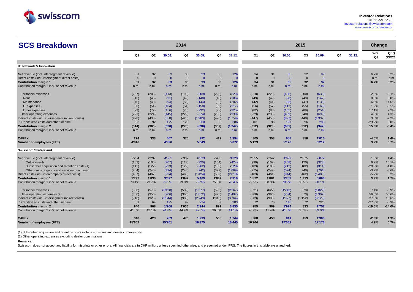

| <b>SCS Breakdown</b>                                                                          |                |                |                | 2014           |                |                |                  |                |                |                | 2015           |                |    |        | Change                |                  |
|-----------------------------------------------------------------------------------------------|----------------|----------------|----------------|----------------|----------------|----------------|------------------|----------------|----------------|----------------|----------------|----------------|----|--------|-----------------------|------------------|
|                                                                                               | Q <sub>1</sub> | Q <sub>2</sub> | 30.06.         | Q3             | 30.09.         | Q4             | 31.12.           | Q1             | Q2             | 30.06.         | Q3             | 30.09.         | Q4 | 31.12. | YoY<br>Q <sub>3</sub> | QoQ<br>Q3/Q2     |
| <b>IT. Network &amp; Innovation</b>                                                           |                |                |                |                |                |                |                  |                |                |                |                |                |    |        |                       |                  |
| Net revenue (incl. intersegment revenue)                                                      | 31             | 32             | 63             | 30             | 93             | 33             | 126              | 34             | 31             | 65             | 32             | 97             |    |        | 6.7%                  | 3.2%             |
| Direct costs (incl. intersegment direct costs)                                                | $\Omega$       | $\Omega$       | $\overline{0}$ | $\mathbf{0}$   | $\overline{0}$ | $\Omega$       | $\overline{0}$   | $\Omega$       | $\mathbf{0}$   | $\overline{0}$ | $\mathbf{0}$   | $\Omega$       |    |        | n.m.                  | n.m.             |
| <b>Contribution margin 1</b>                                                                  | 31             | 32             | 63             | 30             | 93             | 33             | 126              | 34             | 31             | 65             | 32             | 97             |    |        | 6.7%                  | 3.2%             |
| Contribution margin 1 in % of net revenue                                                     | n.m.           | n.m.           | n.m.           | n.m.           | n.m.           | n.m.           | n.m.             | n.m.           | n.m.           | n.m.           | n.m.           | n.m.           |    |        |                       |                  |
| Personnel expenses                                                                            | (207)          | (206)          | (413)          | (196)          | (609)          | (220)          | (829)            | (218)          | (220)          | (438)          | (200)          | (638)          |    |        | 2.0%                  | $-9.1%$          |
| Rent                                                                                          | (46)           | (45)           | (91)           | (49)           | (140)          | (46)           | (186)            | (49)           | (49)           | (98)           | (49)           | (147)          |    |        | 0.0%                  | 0.0%             |
| Maintenance                                                                                   | (46)           | (48)           | (94)           | (50)           | (144)          | (58)           | (202)            | (42)           | (41)           | (83)           | (47)           | (130)          |    |        | $-6.0%$               | 14.6%            |
| IT expenses                                                                                   | (50)           | (54)           | (104)          | (54)           | (158)          | (59)           | (217)            | (56)           | (57)           | (113)          | (55)           | (168)          |    |        | 1.9%                  | $-3.5%$          |
| Other expenses                                                                                | (79)           | (77)           | (156)          | (76)           | (232)          | (93)           | (325)            | (82)           | (83)           | (165)          | (89)           | (254)          |    |        | 17.1%                 | 7.2%             |
| Other operating expenses                                                                      | (221)          | (224)          | (445)          | (229)          | (674)          | (256)          | (930)            | (229)          | (230)          | (459)          | (240)          | (699)          |    |        | 4.8%                  | 4.3%             |
| Indirect costs (incl. intersegment indirect costs)                                            | (428)          | (430)          | (858)          | (425)          | (1'283)        | (476)          | (1'759)          | (447)          | (450)          | (897)          | (440)          | (1'337)        |    |        | 3.5%                  | $-2.2%$          |
| . Capitalized costs and other income                                                          | 83             | 92             | 175            | 125            | 300            | 86             | 386              | 101            | 96             | 197            | 96             | 293            |    |        | $-23.2%$              | 0.0%             |
| <b>Contribution margin 2</b>                                                                  | (314)          | (306)          | (620)          | (270)          | (890)          | (357)          | (1'247)          | (312)          | (323)          | (635)          | (312)          | (947)          |    |        | 15.6%                 | $-3.4%$          |
| Contribution margin 2 in % of net revenue                                                     | n.m.           | n.m.           | n.m.           | n.m.           | n.m.           | n.m.           | n.m.             | n.m.           | n.m.           | n.m.           | n.m.           | n.m.           |    |        |                       |                  |
| <b>CAPEX</b>                                                                                  | 274            | 333            | 607            | 375            | 982            | 412            | 1'394            | 305            | 353            | 658            | 358            | 1'016          |    |        | $-4.5%$               | 1.4%             |
| <b>Number of employees (FTE)</b>                                                              | 4'916          |                | 4'996          |                | 5'049          |                | 5'072            | 5'129          |                | 5'176          |                | 5'212          |    |        | 3.2%                  | 0.7%             |
| <b>Swisscom Switzerland</b>                                                                   |                |                |                |                |                |                |                  |                |                |                |                |                |    |        |                       |                  |
|                                                                                               |                |                |                |                |                |                |                  |                |                |                |                |                |    |        |                       |                  |
| Net revenue (incl. intersegment revenue)                                                      | 2'264          | 2'297          | 4'561          | 2'332          | 6'893          | 2'436          | 9'329            | 2'355          | 2'342          | 4'697          | 2'375          | 7'072          |    |        | 1.8%                  | 1.4%             |
| Outpayments                                                                                   | (102)          | (105)          | (207)          | (113)          | (320)          | (104)          | (424)            | (99)           | (109)          | (208)          | (120)          | (328)          |    |        | 6.2%                  | 10.1%<br>$-1.0%$ |
| Subscriber acquisition and retention costs (1)<br>Other costs of goods and services purchased | (111)<br>(254) | (122)<br>(240) | (233)<br>(494) | (129)<br>(248) | (362)<br>(742) | (158)<br>(327) | (520)<br>(1'069) | (109)<br>(275) | (103)<br>(249) | (212)<br>(524) | (102)<br>(240) | (314)<br>(764) |    |        | $-20.9%$<br>$-3.2%$   | $-3.6%$          |
| Direct costs (incl. intercompany direct costs)                                                | (467)          | (467)          | (934)          | (490)          | (1'424)        | (589)          | (2'013)          | (483)          | (461)          | (944)          | (462)          | (1'406)        |    |        | $-5.7%$               | 0.2%             |
| <b>Contribution margin 1</b>                                                                  | 1'797          | 1'830          | 3'627          | 1'842          | 5'469          | 1'847          | 7'316            | 1'872          | 1'881          | 3'753          | 1'913          | 5'666          |    |        | 3.9%                  | 1.7%             |
| Contribution margin 1 in % of net revenue                                                     | 79.4%          | 79.7%          | 79.5%          | 79.0%          | 79.3%          | 75.8%          | 78.4%            | 79.5%          | 80.3%          | 79.9%          | 80.5%          | 80.1%          |    |        |                       |                  |
| Personnel expenses                                                                            | (568)          | (570)          | (1'138)        | (539)          | (1'677)        | (590)          | (2'267)          | (621)          | (622)          | (1'243)        | (579)          | (1'822)        |    |        | 7.4%                  | $-6.9%$          |
| Other operating expenses (2)                                                                  | (350)          | (356)          | (706)          | (366)          | (1'072)        | (425)          | (1'497)          | (368)          | (366)          | (734)          | (573)          | (1'307)        |    |        | 56.6%                 | 56.6%            |
| Indirect costs (incl. intersegment indirect costs)                                            | (918)          | (926)          | (1'844)        | (905)          | (2'749)        | (1'015)        | (3'764)          | (989)          | (988)          | (1'977)        | (1'152)        | (3'129)        |    |        | 27.3%                 | 16.6%            |
| Capitalized costs and other income                                                            | 61             | 64             | 125            | 99             | 224            | 59             | 283              | 72             | 76             | 148            | 72             | 220            |    |        | $-27.3%$              | $-5.3%$          |
| <b>Contribution margin 2</b>                                                                  | 940            | 968            | 1'908          | 1'036          | 2'944          | 891            | 3'835            | 955            | 969            | 1'924          | 833            | 2'757          |    |        | $-19.6%$              | $-14.0%$         |
| Contribution margin 2 in % of net revenue                                                     | 41.5%          | 42.1%          | 41.8%          | 44.4%          | 42.7%          | 36.6%          | 41.1%            | 40.6%          | 41.4%          | 41.0%          | 35.1%          | 39.0%          |    |        |                       |                  |
| <b>CAPEX</b>                                                                                  | 346            | 423            | 769            | 470            | 1'239          | 505            | 1'744            | 388            | 453            | 841            | 459            | 1'300          |    |        | $-2.3%$               | 1.3%             |
| <b>Number of employees (FTE)</b>                                                              | 15'662         |                | 15'761         |                | 16'375         |                | 16'445           | 16'964         |                | 17'062         |                | 17'176         |    |        | 4.9%                  | 0.7%             |

(1) Subscriber acquisition and retention costs include subsidies and dealer commissions

(2) Other operating expenses excluding dealer commissions

## **Remarks:**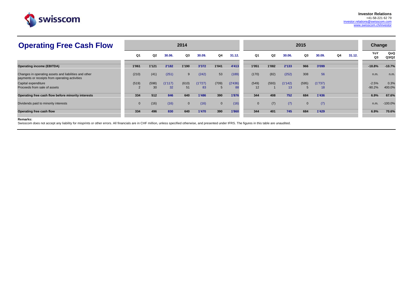

| <b>Operating Free Cash Flow</b>                                                                         |             |                |         | 2014         |         |              |         |                |       |         | 2015         |         |    |        | Change    |              |
|---------------------------------------------------------------------------------------------------------|-------------|----------------|---------|--------------|---------|--------------|---------|----------------|-------|---------|--------------|---------|----|--------|-----------|--------------|
|                                                                                                         | Q1          | Q <sub>2</sub> | 30.06.  | Q3           | 30.09.  | Q4           | 31.12.  | Q <sub>1</sub> | Q2    | 30.06.  | Q3           | 30.09.  | Q4 | 31.12. | YoY<br>Q3 | QoQ<br>Q3/Q2 |
| <b>Operating income (EBITDA)</b>                                                                        | 1'061       | 1'121          | 2'182   | 1'190        | 3'372   | 1'041        | 4'413   | 1'051          | 1'082 | 2'133   | 966          | 3'099   |    |        | $-18.8%$  | $-10.7%$     |
| Changes in operating assets and liabilities and other<br>payments or receipts from operating activities | (210)       | (41)           | (251)   | 9            | (242)   | 53           | (189)   | (170)          | (82)  | (252)   | 308          | 56      |    |        | n.m.      | n.m.         |
| Capital expenditure                                                                                     | (519)       | (598)          | (1'117) | (610)        | (1'727) | (709)        | (2'436) | (549)          | (593) | (1'142) | (595)        | (1'737) |    |        | $-2.5%$   | 0.3%         |
| Proceeds from sale of assets                                                                            |             | 30             | 32      | 51           | 83      |              | 88      | 12             |       | 13      |              | 18      |    |        | $-90.2%$  | 400.0%       |
| Operating free cash flow before minority interests                                                      | 334         | 512            | 846     | 640          | 1'486   | 390          | 1'876   | 344            | 408   | 752     | 684          | 1'436   |    |        | 6.9%      | 67.6%        |
| Dividends paid to minority interests                                                                    | $\mathbf 0$ | (16)           | (16)    | $\mathbf{0}$ | (16)    | $\mathbf{0}$ | (16)    | $\overline{0}$ | (7)   | (7)     | $\mathbf{0}$ | (7)     |    |        | n.m.      | $-100.0%$    |
| Operating free cash flow                                                                                | 334         | 496            | 830     | 640          | 1'470   | 390          | 1'860   | 344            | 401   | 745     | 684          | 1'429   |    |        | 6.9%      | 70.6%        |

### **Remarks:**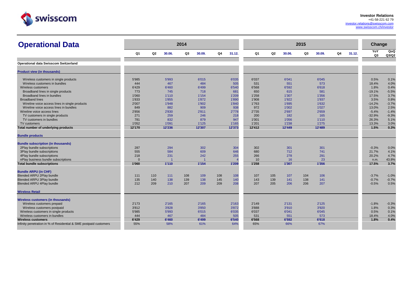

| <b>Operational Data</b>                                           |                |                |        | 2014 |        |     |        |                |     |        | 2015 |        |    |        | Change    |              |
|-------------------------------------------------------------------|----------------|----------------|--------|------|--------|-----|--------|----------------|-----|--------|------|--------|----|--------|-----------|--------------|
|                                                                   | Q <sub>1</sub> | Q <sub>2</sub> | 30.06. | Q3   | 30.09. | Q4  | 31.12. | Q <sub>1</sub> | Q2  | 30.06. | Q3   | 30.09. | Q4 | 31.12. | YoY<br>Q3 | QoQ<br>Q3/Q2 |
| <b>Operational data Swisscom Switzerland</b>                      |                |                |        |      |        |     |        |                |     |        |      |        |    |        |           |              |
| <b>Product view (in thousands)</b>                                |                |                |        |      |        |     |        |                |     |        |      |        |    |        |           |              |
| Wireless customers in single products                             | 5'985          |                | 5'993  |      | 6'015  |     | 6'035  | 6'037          |     | 6'041  |      | 6'045  |    |        | 0.5%      | 0.1%         |
| Wireless customers in bundles                                     | 444            |                | 467    |      | 484    |     | 505    | 531            |     | 551    |      | 573    |    |        | 18.4%     | 4.0%         |
| Wireless customers                                                | 6'429          |                | 6'460  |      | 6'499  |     | 6'540  | 6'568          |     | 6'592  |      | 6'618  |    |        | 1.8%      | 0.4%         |
| Broadband lines in single products                                | 773            |                | 745    |      | 718    |     | 681    | 650            |     | 615    |      | 581    |    |        | $-19.1%$  | $-5.5%$      |
| Broadband lines in bundles                                        | 1'060          |                | 1'110  |      | 1'154  |     | 1'209  | 1'258          |     | 1'307  |      | 1'356  |    |        | 17.5%     | 3.7%         |
| <b>Broadband lines</b>                                            | 1'833          |                | 1'855  |      | 1'872  |     | 1'890  | 1'908          |     | 1'922  |      | 1'937  |    |        | 3.5%      | 0.8%         |
| Wireline voice access lines in single products                    | 2'007          |                | 1'948  |      | 1'902  |     | 1'840  | 1'763          |     | 1'695  |      | 1'632  |    |        | $-14.2%$  | $-3.7%$      |
| Wireline voice access lines in bundles                            | 849            |                | 882    |      | 909    |     | 938    | 972            |     | 1'002  |      | 1'027  |    |        | 13.0%     | 2.5%         |
| Wireline voice access lines                                       | 2'856          |                | 2'830  |      | 2'811  |     | 2'778  | 2'735          |     | 2'697  |      | 2'659  |    |        | $-5.4%$   | $-1.4%$      |
| TV customers in single products                                   | 271            |                | 259    |      | 246    |     | 218    | 200            |     | 182    |      | 165    |    |        | $-32.9%$  | $-9.3%$      |
| TV customers in bundles                                           | 781            |                | 832    |      | 879    |     | 947    | 1'001          |     | 1'056  |      | 1'110  |    |        | 26.3%     | 5.1%         |
| TV customers                                                      | 1'052          |                | 1'091  |      | 1'125  |     | 1'165  | 1'201          |     | 1'238  |      | 1'275  |    |        | 13.3%     | 3.0%         |
| Total number of underlying products                               | 12'170         |                | 12'236 |      | 12'307 |     | 12'373 | 12'412         |     | 12'449 |      | 12'489 |    |        | 1.5%      | 0.3%         |
| <b>Bundle products</b>                                            |                |                |        |      |        |     |        |                |     |        |      |        |    |        |           |              |
| <b>Bundle subscription (in thousands)</b>                         |                |                |        |      |        |     |        |                |     |        |      |        |    |        |           |              |
| 2Play bundle subscriptions                                        | 287            |                | 294    |      | 302    |     | 304    | 302            |     | 301    |      | 301    |    |        | $-0.3%$   | 0.0%         |
| 3Play bundle subscriptions                                        | 555            |                | 584    |      | 609    |     | 646    | 680            |     | 712    |      | 741    |    |        | 21.7%     | 4.1%         |
| 4Play bundle subscriptions                                        | 218            |                | 231    |      | 242    |     | 255    | 266            |     | 278    |      | 291    |    |        | 20.2%     | 4.7%         |
| nPlay business bundle subscriptions                               | $\Omega$       |                |        |      |        |     |        | 10             |     | 16     |      | 23     |    |        | n.m.      | 43.8%        |
| <b>Total bundle subscriptions</b>                                 | 1'060          |                | 1'110  |      | 1'154  |     | 1'209  | 1'258          |     | 1'307  |      | 1'356  |    |        | 17.5%     | 3.7%         |
| <b>Bundle ARPU (in CHF)</b>                                       |                |                |        |      |        |     |        |                |     |        |      |        |    |        |           |              |
| <b>Blended ARPU 2Play bundle</b>                                  | 111            | 110            | 111    | 108  | 109    | 108 | 108    | 107            | 105 | 107    | 104  | 106    |    |        | $-3.7%$   | $-1.0%$      |
| Blended ARPU 3Play bundle                                         | 135            | 140            | 138    | 139  | 138    | 145 | 140    | 143            | 139 | 141    | 138  | 141    |    |        | $-0.7%$   | $-0.7%$      |
| Blended ARPU 4Play bundle                                         | 212            | 209            | 210    | 207  | 209    | 209 | 208    | 207            | 205 | 206    | 206  | 207    |    |        | $-0.5%$   | 0.5%         |
| <b>Wireless Retail</b>                                            |                |                |        |      |        |     |        |                |     |        |      |        |    |        |           |              |
| <b>Wireless customers (in thousands)</b>                          |                |                |        |      |        |     |        |                |     |        |      |        |    |        |           |              |
| Wireless customers prepaid                                        | 2'173          |                | 2'165  |      | 2'165  |     | 2'163  | 2'149          |     | 2'131  |      | 2'125  |    |        | $-1.8%$   | $-0.3%$      |
| Wireless customers postpaid                                       | 3'812          |                | 3'828  |      | 3'850  |     | 3'872  | 3'888          |     | 3'910  |      | 3'920  |    |        | 1.8%      | 0.3%         |
| Wireless customers in single products                             | 5'985          |                | 5'993  |      | 6'015  |     | 6'035  | 6'037          |     | 6'041  |      | 6'045  |    |        | 0.5%      | 0.1%         |
| Wireless customers in bundles                                     | 444            |                | 467    |      | 484    |     | 505    | 531            |     | 551    |      | 573    |    |        | 18.4%     | 4.0%         |
| <b>Wireless customers</b>                                         | 6'429          |                | 6'460  |      | 6'499  |     | 6'540  | 6'568          |     | 6'592  |      | 6'618  |    |        | 1.8%      | 0.4%         |
| Infinity penetration in % of Residential & SME postpaid customers | 55%            |                | 58%    |      | 61%    |     | 64%    | 65%            |     | 66%    |      | 67%    |    |        |           |              |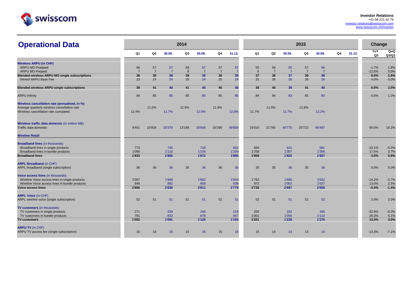

| <b>Operational Data</b>                              |                      |                      |                      | 2014    |                      |                      |                      |                |                      |                      | 2015                 |                      |                |        | Change              |                     |
|------------------------------------------------------|----------------------|----------------------|----------------------|---------|----------------------|----------------------|----------------------|----------------|----------------------|----------------------|----------------------|----------------------|----------------|--------|---------------------|---------------------|
|                                                      | Q <sub>1</sub>       | Q2                   | 30.06.               | Q3      | 30.09.               | Q4                   | 31.12.               | Q <sub>1</sub> | Q2                   | 30.06.               | Q3                   | 30.09.               | Q <sub>4</sub> | 31.12. | YoY<br>Q3           | <b>QoQ</b><br>Q3/Q2 |
| <b>Wireless ARPU (in CHF)</b>                        |                      |                      |                      |         |                      |                      |                      |                |                      |                      |                      |                      |                |        |                     |                     |
| ARPU MO Postpaid<br><b>ARPU MO Prepaid</b>           | 56<br>$\overline{7}$ | 57<br>$\overline{7}$ | 57<br>$\overline{7}$ | 58<br>8 | 57<br>$\overline{7}$ | 57<br>$\overline{7}$ | 57<br>$\overline{7}$ | 55<br>6        | 56<br>$\overline{7}$ | 55<br>$\overline{7}$ | 57<br>$\overline{7}$ | 56<br>$\overline{7}$ |                |        | $-1.7%$<br>$-12.5%$ | 1.8%<br>0.0%        |
| <b>Blended wireless ARPU MO single subscriptions</b> | 38                   | 39                   | 38                   | 39      | 39                   | 38                   | 39                   | 37             | 38                   | 37                   | 39                   | 38                   |                |        | 0.0%                | 2.6%                |
| thereof ARPU Base Fee                                | 23                   | 24                   | 24                   | 25      | 24                   | 25                   | 24                   | 25             | 26                   | 26                   | 26                   | 26                   |                |        | 4.0%                | 0.0%                |
| <b>Blended wireless ARPU single subscriptions</b>    | 39                   | 41                   | 40                   | 41      | 40                   | 40                   | 40                   | 38             | 40                   | 39                   | 41                   | 40                   |                |        | 0.0%                | 2.5%                |
| <b>ARPU Infinity</b>                                 | 84                   | 85                   | 85                   | 85      | 85                   | 85                   | 85                   | 84             | 84                   | 83                   | 85                   | 84                   |                |        | 0.0%                | 1.2%                |
| Wireless cancellation rate (annualised, in %)        |                      |                      |                      |         |                      |                      |                      |                |                      |                      |                      |                      |                |        |                     |                     |
| Average quarterly wireless cancellation rate         |                      | 11.0%                |                      | 12.6%   |                      | 11.8%                |                      |                | 11.8%                |                      | 12.8%                |                      |                |        |                     |                     |
| Wireless cancellation rate cumulated                 | 12.4%                |                      | 11.7%                |         | 12.0%                |                      | 12.0%                | 11.7%          |                      | 11.7%                |                      | 12.2%                |                |        |                     |                     |
| Wireless traffic data domestic (in million MB)       |                      |                      |                      |         |                      |                      |                      |                |                      |                      |                      |                      |                |        |                     |                     |
| Traffic data domestic                                | 9'451                | 10'928               | 20'379               | 13'189  | 33'568               | 16'290               | 49'858               | 19'010         | 21'765               | 40'775               | 25'722               | 66'497               |                |        | 95.0%               | 18.2%               |
| <b>Wireline Retail</b>                               |                      |                      |                      |         |                      |                      |                      |                |                      |                      |                      |                      |                |        |                     |                     |
| <b>Broadband lines (in thousands)</b>                |                      |                      |                      |         |                      |                      |                      |                |                      |                      |                      |                      |                |        |                     |                     |
| Broadband lines in single products                   | 773                  |                      | 745                  |         | 718                  |                      | 681                  | 650            |                      | 615                  |                      | 581                  |                |        | $-19.1%$            | $-5.5%$             |
| Broadband lines in bundle products                   | 1'060                |                      | 1'110                |         | 1'154                |                      | 1'209                | 1'258          |                      | 1'307                |                      | 1'356                |                |        | 17.5%               | 3.7%<br>0.8%        |
| <b>Broadband lines</b>                               | 1'833                |                      | 1'855                |         | 1'872                |                      | 1'890                | 1'908          |                      | 1'922                |                      | 1'937                |                |        | 3.5%                |                     |
| <b>ARPL Broadband (in CHF)</b>                       |                      |                      |                      |         |                      |                      |                      |                |                      |                      |                      |                      |                |        |                     |                     |
| ARPL broadband (single subscription)                 | 36                   | 36                   | 36                   | 35      | 36                   | 36                   | 36                   | 35             | 35                   | 36                   | 35                   | 36                   |                |        | 0.0%                | 0.0%                |
| Voice access lines (in thousands)                    |                      |                      |                      |         |                      |                      |                      |                |                      |                      |                      |                      |                |        |                     |                     |
| Wireline Voice access lines in single products       | 2'007                |                      | 1'948                |         | 1'902                |                      | 1'840                | 1'763          |                      | 1'695                |                      | 1'632                |                |        | $-14.2%$            | $-3.7%$             |
| Wireline Voice access lines in bundle products       | 849                  |                      | 882                  |         | 909                  |                      | 938                  | 972            |                      | 1'002                |                      | 1'027                |                |        | 13.0%               | 2.5%                |
| <b>Voice access lines</b>                            | 2'856                |                      | 2'830                |         | 2'811                |                      | 2'778                | 2'735          |                      | 2'697                |                      | 2'659                |                |        | $-5.4%$             | $-1.4%$             |
| <b>ARPL Voice (in CHF)</b>                           |                      |                      |                      |         |                      |                      |                      |                |                      |                      |                      |                      |                |        |                     |                     |
| ARPL wireline voice (single subscription)            | 52                   | 51                   | 51                   | 51      | 51                   | 52                   | 51                   | 52             | 51                   | 51                   | 52                   | 52                   |                |        | 2.0%                | 2.0%                |
| TV customers (in thousands)                          |                      |                      |                      |         |                      |                      |                      |                |                      |                      |                      |                      |                |        |                     |                     |
| TV customers in single products                      | 271                  |                      | 259                  |         | 246                  |                      | 218                  | 200            |                      | 182                  |                      | 165                  |                |        | $-32.9%$            | $-9.3%$             |
| TV customers in bundle products                      | 781                  |                      | 832                  |         | 879                  |                      | 947                  | 1'001          |                      | 1'056                |                      | 1'110                |                |        | 26.3%               | 5.1%                |
| <b>TV customers</b>                                  | 1'052                |                      | 1'091                |         | 1'125                |                      | 1'165                | 1'201          |                      | 1'238                |                      | 1'275                |                |        | 13.3%               | 3.0%                |
| <b>ARPU TV (in CHF)</b>                              |                      |                      |                      |         |                      |                      |                      |                |                      |                      |                      |                      |                |        |                     |                     |
| ARPU TV access fee (single subscription)             | 16                   | 16                   | 16                   | 15      | 16                   | 15                   | 16                   | 15             | 14                   | 14                   | 13                   | 14                   |                |        | $-13.3%$            | $-7.1%$             |
|                                                      |                      |                      |                      |         |                      |                      |                      |                |                      |                      |                      |                      |                |        |                     |                     |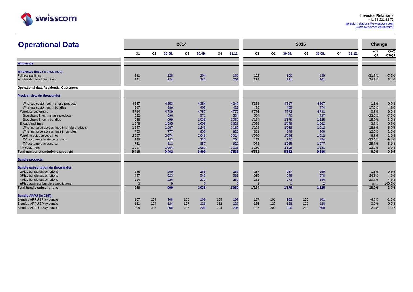

| <b>Operational Data</b>                        |            |                |                | 2014 |            |     |            |            |     |            | 2015 |                |    |        | <b>Change</b>     |                 |
|------------------------------------------------|------------|----------------|----------------|------|------------|-----|------------|------------|-----|------------|------|----------------|----|--------|-------------------|-----------------|
|                                                | Q1         | Q <sub>2</sub> | 30.06.         | Q3   | 30.09.     | Q4  | 31.12.     | Q1         | Q2  | 30.06.     | Q3   | 30.09.         | Q4 | 31.12. | YoY<br>Q3         | QoQ<br>Q3/Q2    |
| <b>Wholesale</b>                               |            |                |                |      |            |     |            |            |     |            |      |                |    |        |                   |                 |
| <b>Wholesale lines (in thousands)</b>          |            |                |                |      |            |     |            |            |     |            |      |                |    |        |                   |                 |
| Full access lines<br>Wholesale broadband lines | 241<br>221 |                | 228<br>224     |      | 204<br>241 |     | 180<br>262 | 162<br>278 |     | 150<br>291 |      | 139<br>301     |    |        | $-31.9%$<br>24.9% | $-7.3%$<br>3.4% |
| <b>Operational data Residential Customers</b>  |            |                |                |      |            |     |            |            |     |            |      |                |    |        |                   |                 |
| <b>Product view (in thousands)</b>             |            |                |                |      |            |     |            |            |     |            |      |                |    |        |                   |                 |
| Wireless customers in single products          | 4'357      |                | 4'353          |      | 4'354      |     | 4'349      | 4'338      |     | 4'317      |      | 4'307          |    |        | $-1.1%$           | $-0.2%$         |
| Wireless customers in bundles                  | 367        |                | 386            |      | 403        |     | 423        | 438        |     | 455        |      | 474            |    |        | 17.6%             | 4.2%            |
| Wireless customers                             | 4'724      |                | 4'739          |      | 4'757      |     | 4'772      | 4'776      |     | 4'772      |      | 4'781          |    |        | 0.5%              | 0.2%            |
| Broadband lines in single products             | 622        |                | 596            |      | 571        |     | 534        | 504        |     | 470        |      | 437            |    |        | $-23.5%$          | $-7.0%$         |
| Broadband lines in bundles                     | 956        |                | 999            |      | 1'038      |     | 1'089      | 1'134      |     | 1'179      |      | 1'225          |    |        | 18.0%             | 3.9%            |
| <b>Broadband lines</b>                         | 1'578      |                | 1'595          |      | 1'609      |     | 1'623      | 1'638      |     | 1'649      |      | 1'662          |    |        | 3.3%              | 0.8%            |
| Wireline voice access lines in single products | 1'347      |                | 1'297          |      | 1'246      |     | 1'189      | 1'128      |     | 1'068      |      | 1'012          |    |        | $-18.8%$          | $-5.2%$         |
| Wireline voice access lines in bundles         | 750        |                | 777            |      | 800        |     | 825        | 851        |     | 878        |      | 900            |    |        | 12.5%             | 2.5%            |
| Wireline voice access lines                    | 2'097      |                | 2'074          |      | 2'046      |     | 2'014      | 1'979      |     | 1'946      |      | 1'912          |    |        | $-6.5%$           | $-1.7%$         |
| TV customers in single products                | 256        |                | 243            |      | 230        |     | 204        | 187        |     | 170        |      | 154            |    |        | $-33.0%$          | $-9.4%$         |
| TV customers in bundles                        | 761        |                | 811            |      | 857        |     | 922        | 973        |     | 1'025      |      | 1'077          |    |        | 25.7%             | 5.1%            |
| TV customers                                   | 1'017      |                | 1'054          |      | 1'087      |     | 1'126      | 1'160      |     | 1'195      |      | 1'231          |    |        | 13.2%             | 3.0%            |
| Total number of underlying products            | 9'416      |                | 9'462          |      | 9'499      |     | 9'535      | 9'553      |     | 9'562      |      | 9'586          |    |        | 0.9%              | 0.3%            |
| <b>Bundle products</b>                         |            |                |                |      |            |     |            |            |     |            |      |                |    |        |                   |                 |
| <b>Bundle subscription (in thousands)</b>      |            |                |                |      |            |     |            |            |     |            |      |                |    |        |                   |                 |
| 2Play bundle subscriptions                     | 245        |                | 250            |      | 255        |     | 258        | 257        |     | 257        |      | 259            |    |        | 1.6%              | 0.8%            |
| 3Play bundle subscriptions                     | 497        |                | 523            |      | 546        |     | 581        | 615        |     | 648        |      | 678            |    |        | 24.2%             | 4.6%            |
| 4Play bundle subscriptions                     | 214        |                | 226            |      | 237        |     | 250        | 261        |     | 273        |      | 286            |    |        | 20.7%             | 4.8%            |
| nPlay business bundle subscriptions            | $\Omega$   |                | $\overline{0}$ |      | $\Omega$   |     | $\Omega$   |            |     |            |      | $\overline{2}$ |    |        | n.m.              | 100.0%          |
| <b>Total bundle subscriptions</b>              | 956        |                | 999            |      | 1'038      |     | 1'089      | 1'134      |     | 1'179      |      | 1'225          |    |        | 18.0%             | 3.9%            |
| <b>Bundle ARPU (in CHF)</b>                    |            |                |                |      |            |     |            |            |     |            |      |                |    |        |                   |                 |
| <b>Blended ARPU 2Play bundle</b>               | 107        | 109            | 108            | 105  | 108        | 105 | 107        | 107        | 101 | 102        | 100  | 101            |    |        | $-4.8%$           | $-1.0%$         |
| <b>Blended ARPU 3Play bundle</b>               | 121        | 127            | 124            | 127  | 126        | 132 | 127        | 135        | 127 | 128        | 127  | 128            |    |        | 0.0%              | 0.0%            |
| Blended ARPU 4Play bundle                      | 205        | 206            | 206            | 207  | 209        | 204 | 205        | 207        | 200 | 200        | 202  | 200            |    |        | $-2.4%$           | 1.0%            |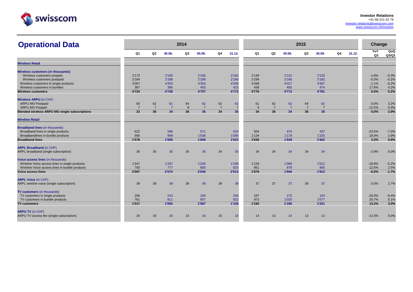

| <b>Operational Data</b>                              |                |                |                | 2014 |                |                |                 |       |                |                | 2015           |                |                |        | Change    |                     |
|------------------------------------------------------|----------------|----------------|----------------|------|----------------|----------------|-----------------|-------|----------------|----------------|----------------|----------------|----------------|--------|-----------|---------------------|
|                                                      | Q <sub>1</sub> | Q2             | 30.06.         | Q3   | 30.09.         | Q4             | 31.12.          | Q1    | Q <sub>2</sub> | 30.06.         | Q3             | 30.09.         | Q <sub>4</sub> | 31.12. | YoY<br>Q3 | <b>QoQ</b><br>Q3/Q2 |
| <b>Wireless Retail</b>                               |                |                |                |      |                |                |                 |       |                |                |                |                |                |        |           |                     |
| <b>Wireless customers (in thousands)</b>             |                |                |                |      |                |                |                 |       |                |                |                |                |                |        |           |                     |
| Wireless customers prepaid                           | 2'173          |                | 2'165          |      | 2'165          |                | 2'163           | 2'149 |                | 2'131          |                | 2'125          |                |        | $-1.8%$   | $-0.3%$             |
| Wireless customers postpaid                          | 2'184          |                | 2'188          |      | 2'189          |                | 2'186           | 2'189 |                | 2'186          |                | 2'182          |                |        | $-0.3%$   | $-0.2%$             |
| Wireless customers in single products                | 4'357          |                | 4'353          |      | 4'354          |                | 4'349           | 4'338 |                | 4'317          |                | 4'307          |                |        | $-1.1%$   | $-0.2%$             |
| Wireless customers in bundles                        | 367            |                | 386            |      | 403            |                | 423             | 438   |                | 455            |                | 474            |                |        | 17.6%     | 4.2%                |
| <b>Wireless customers</b>                            | 4'724          |                | 4'739          |      | 4'757          |                | 4'772           | 4'776 |                | 4'772          |                | 4'781          |                |        | 0.5%      | 0.2%                |
| <b>Wireless ARPU</b> (in CHF)                        |                |                |                |      |                |                |                 |       |                |                |                |                |                |        |           |                     |
| <b>ARPU MO Postpaid</b>                              | 60             | 62             | 61             | 64   | 62             | 62             | 62              | 61    | 62             | 62             | 64             | 62             |                |        | 0.0%      | 3.2%                |
| <b>ARPU MO Prepaid</b>                               | $\overline{7}$ | $\overline{7}$ | $\overline{7}$ | 8    | $\overline{7}$ | $\overline{7}$ | $\overline{7}$  | 6     | $\overline{7}$ | $\overline{7}$ | $\overline{7}$ | $\overline{7}$ |                |        | $-12.5%$  | 0.0%                |
| <b>Blended wireless ARPU MO single subscriptions</b> | 33             | 35             | 34             | 36   | 35             | 34             | 35 <sub>5</sub> | 34    | 35             | 34             | 36             | 35             |                |        | 0.0%      | 2.9%                |
| <b>Wireline Retail</b>                               |                |                |                |      |                |                |                 |       |                |                |                |                |                |        |           |                     |
| <b>Broadband lines (in thousands)</b>                |                |                |                |      |                |                |                 |       |                |                |                |                |                |        |           |                     |
| Broadband lines in single products                   | 622            |                | 596            |      | 571            |                | 534             | 504   |                | 470            |                | 437            |                |        | $-23.5%$  | $-7.0%$             |
| Broadbandlines in bundle products                    | 956            |                | 999            |      | 1'038          |                | 1'089           | 1'134 |                | 1'179          |                | 1'225          |                |        | 18.0%     | 3.9%                |
| <b>Broadband lines</b>                               | 1'578          |                | 1'595          |      | 1'609          |                | 1'623           | 1'638 |                | 1'649          |                | 1'662          |                |        | 3.3%      | 0.8%                |
| <b>ARPL Broadband (in CHF)</b>                       |                |                |                |      |                |                |                 |       |                |                |                |                |                |        |           |                     |
| ARPL broadband (single subscription)                 | 35             | 35             | 35             | 35   | 35             | 34             | 35              | 34    | 34             | 34             | 34             | 34             |                |        | $-2.9%$   | 0.0%                |
| Voice access lines (in thousands)                    |                |                |                |      |                |                |                 |       |                |                |                |                |                |        |           |                     |
| Wireline Voice access lines in single products       | 1'347          |                | 1'297          |      | 1'246          |                | 1'189           | 1'128 |                | 1'068          |                | 1'012          |                |        | $-18.8%$  | $-5.2%$             |
| Wireline Voice access lines in bundle products       | 750            |                | 777            |      | 800            |                | 825             | 851   |                | 878            |                | 900            |                |        | 12.5%     | 2.5%                |
| <b>Voice access lines</b>                            | 2'097          |                | 2'074          |      | 2'046          |                | 2'014           | 1'979 |                | 1'946          |                | 1'912          |                |        | $-6.5%$   | $-1.7%$             |
| <b>ARPL Voice (in CHF)</b>                           |                |                |                |      |                |                |                 |       |                |                |                |                |                |        |           |                     |
| ARPL wireline voice (single subscription)            | 39             | 38             | 39             | 38   | 39             | 39             | 39              | 37    | 37             | 37             | 38             | 37             |                |        | 0.0%      | 2.7%                |
| TV customers (in thousands)                          |                |                |                |      |                |                |                 |       |                |                |                |                |                |        |           |                     |
| TV customers in single products                      | 256            |                | 243            |      | 230            |                | 204             | 187   |                | 170            |                | 154            |                |        | $-33.0%$  | $-9.4%$             |
| TV customers in bundle products                      | 761            |                | 811            |      | 857            |                | 922             | 973   |                | 1'025          |                | 1'077          |                |        | 25.7%     | 5.1%                |
| <b>TV customers</b>                                  | 1'017          |                | 1'054          |      | 1'087          |                | 1'126           | 1'160 |                | 1'195          |                | 1'231          |                |        | 13.2%     | 3.0%                |
| <b>ARPU TV (in CHF)</b>                              |                |                |                |      |                |                |                 |       |                |                |                |                |                |        |           |                     |
| ARPU TV access fee (single subscription)             | 16             | 16             | 16             | 15   | 16             | 15             | 15              | 14    | 13             | 14             | 13             | 13             |                |        | $-13.3%$  | 0.0%                |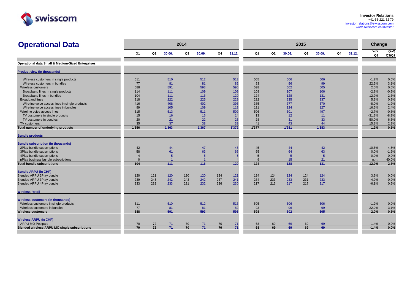

| <b>Operational Data</b>                                                                                                         |                |     |                | 2014 |                |     |          |                 |     |          | 2015 |                |    |        | Change           |                    |
|---------------------------------------------------------------------------------------------------------------------------------|----------------|-----|----------------|------|----------------|-----|----------|-----------------|-----|----------|------|----------------|----|--------|------------------|--------------------|
|                                                                                                                                 | Q <sub>1</sub> | Q2  | 30.06.         | Q3   | 30.09.         | Q4  | 31.12.   | Q1              | Q2  | 30.06.   | Q3   | 30.09.         | Q4 | 31.12. | YoY<br>Q3        | QoQ<br>Q3/Q2       |
|                                                                                                                                 |                |     |                |      |                |     |          |                 |     |          |      |                |    |        |                  |                    |
| Operational data Small & Medium-Sized Enterprises                                                                               |                |     |                |      |                |     |          |                 |     |          |      |                |    |        |                  |                    |
| <b>Product view (in thousands)</b>                                                                                              |                |     |                |      |                |     |          |                 |     |          |      |                |    |        |                  |                    |
| Wireless customers in single products                                                                                           | 511            |     | 510            |      | 512            |     | 513      | 505             |     | 506      |      | 506            |    |        | $-1.2%$          | 0.0%               |
| Wireless customers in bundles                                                                                                   | 77             |     | 81             |      | 81             |     | 82       | 93              |     | 96       |      | 99             |    |        | 22.2%            | 3.1%               |
| Wireless customers                                                                                                              | 588            |     | 591            |      | 593            |     | 595      | 598             |     | 602      |      | 605            |    |        | 2.0%             | 0.5%               |
| Broadband lines in single products                                                                                              | 114            |     | 111            |      | 109            |     | 109      | 108             |     | 107      |      | 106            |    |        | $-2.8%$          | $-0.9%$            |
| Broadband lines in bundles                                                                                                      | 104            |     | 111            |      | 116            |     | 120      | 124             |     | 128      |      | 131            |    |        | 12.9%            | 2.3%               |
| <b>Broadband lines</b>                                                                                                          | 218            |     | 222            |      | 225            |     | 229      | 232             |     | 235      |      | 237            |    |        | 5.3%             | 0.9%               |
| Wireline voice access lines in single products                                                                                  | 416            |     | 408            |      | 402            |     | 396      | 385             |     | 377      |      | 370            |    |        | $-8.0%$          | $-1.9%$            |
| Wireline voice access lines in bundles                                                                                          | 99             |     | 105            |      | 109            |     | 113      | 121             |     | 124      |      | 127            |    |        | 16.5%            | 2.4%               |
| Wireline voice access lines                                                                                                     | 515            |     | 513            |      | 511            |     | 509      | 506             |     | 501      |      | 497            |    |        | $-2.7%$          | $-0.8%$            |
| TV customers in single products                                                                                                 | 15             |     | 16             |      | 16             |     | 14       | 13              |     | 12       |      | 11             |    |        | $-31.3%$         | $-8.3%$            |
| TV customers in bundles                                                                                                         | 20             |     | 21             |      | 22             |     | 25       | 28              |     | 31       |      | 33             |    |        | 50.0%            | 6.5%               |
| TV customers                                                                                                                    | 35             |     | 37             |      | 38             |     | 39       | 41              |     | 43       |      | 44             |    |        | 15.8%            | 2.3%               |
| Total number of underlying products                                                                                             | 1'356          |     | 1'363          |      | 1'367          |     | 1'372    | 1'377           |     | 1'381    |      | 1'383          |    |        | 1.2%             | 0.1%               |
| <b>Bundle products</b><br><b>Bundle subscription (in thousands)</b><br>2Play bundle subscriptions<br>3Play bundle subscriptions | 42<br>58       |     | 44<br>61       |      | 47<br>63       |     | 46<br>65 | 45<br>65        |     | 44<br>64 |      | 42<br>63       |    |        | $-10.6%$<br>0.0% | $-4.5%$<br>$-1.6%$ |
| 4Play bundle subscriptions                                                                                                      | $\overline{4}$ |     | 5              |      | .5             |     |          | $5\overline{5}$ |     | .5       |      | $\overline{5}$ |    |        | 0.0%             | 0.0%               |
| nPlay business bundle subscriptions                                                                                             | $\Omega$       |     | $\overline{1}$ |      | $\overline{1}$ |     |          | $\mathbf{q}$    |     | 15       |      | 21             |    |        | n.m.             | 40.0%              |
| <b>Total bundle subscriptions</b>                                                                                               | 104            |     | 111            |      | 116            |     | 120      | 124             |     | 128      |      | 131            |    |        | 12.9%            | 2.3%               |
| <b>Bundle ARPU (in CHF)</b>                                                                                                     |                |     |                |      |                |     |          |                 |     |          |      |                |    |        |                  |                    |
| <b>Blended ARPU 2Play bundle</b>                                                                                                | 120            | 121 | 120            | 120  | 120            | 124 | 121      | 124             | 124 | 124      | 124  | 124            |    |        | 3.3%             | 0.0%               |
| <b>Blended ARPU 3Play bundle</b>                                                                                                | 239            | 245 | 242            | 243  | 242            | 237 | 241      | 234             | 233 | 233      | 231  | 233            |    |        | $-4.9%$          | $-0.9%$            |
| Blended ARPU 4Play bundle                                                                                                       | 233            | 232 | 233            | 231  | 232            | 226 | 230      | 217             | 216 | 217      | 217  | 217            |    |        | $-6.1%$          | 0.5%               |
| <b>Wireless Retail</b>                                                                                                          |                |     |                |      |                |     |          |                 |     |          |      |                |    |        |                  |                    |
| Wireless customers (in thousands)<br>Wireless customers in single products                                                      | 511            |     | 510            |      | 512            |     | 513      | 505             |     | 506      |      | 506            |    |        | $-1.2%$          | 0.0%               |
| Wireless customers in bundles                                                                                                   | 77             |     | 81             |      | 81             |     | 82       | 93              |     | 96       |      | 99             |    |        | 22.2%            | 3.1%               |
| <b>Wireless customers</b>                                                                                                       | 588            |     | 591            |      | 593            |     | 595      | 598             |     | 602      |      | 605            |    |        | 2.0%             | 0.5%               |
| Wireless ARPU (in CHF)                                                                                                          |                |     |                |      |                |     |          |                 |     |          |      |                |    |        |                  |                    |
| <b>ARPU MO Postpaid</b>                                                                                                         | 70             | 72  | 71             | 70   | 71             | 70  | 71       | 68              | 69  | 69       | 69   | 69             |    |        | $-1.4%$          | 0.0%               |
| <b>Blended wireless ARPU MO single subscriptions</b>                                                                            | 70             | 72  | 71             | 70   | 71             | 70  | 71       | 68              | 69  | 69       | 69   | 69             |    |        | $-1.4%$          | 0.0%               |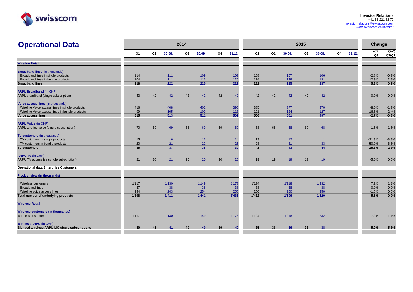

| <b>Operational Data</b>                              |              |    |              | 2014 |              |    |              |              |                |              | 2015 |              |    |        | Change          |                     |
|------------------------------------------------------|--------------|----|--------------|------|--------------|----|--------------|--------------|----------------|--------------|------|--------------|----|--------|-----------------|---------------------|
|                                                      | Q1           | Q2 | 30.06.       | Q3   | 30.09.       | Q4 | 31.12.       | Q1           | Q <sub>2</sub> | 30.06.       | Q3   | 30.09.       | Q4 | 31.12. | YoY<br>Q3       | <b>QoQ</b><br>Q3/Q2 |
| <b>Wireline Retail</b>                               |              |    |              |      |              |    |              |              |                |              |      |              |    |        |                 |                     |
| <b>Broadband lines (in thousands)</b>                |              |    |              |      |              |    |              |              |                |              |      |              |    |        |                 |                     |
| Broadband lines in single products                   | 114          |    | 111          |      | 109          |    | 109          | 108          |                | 107          |      | 106          |    |        | $-2.8%$         | $-0.9%$             |
| Broadband lines in bundle products                   | 104          |    | 111          |      | 116          |    | 120          | 124          |                | 128          |      | 131          |    |        | 12.9%           | 2.3%                |
| <b>Broadband lines</b>                               | 218          |    | 222          |      | 225          |    | 229          | 232          |                | 235          |      | 237          |    |        | 5.3%            | 0.9%                |
| <b>ARPL Broadband (in CHF)</b>                       |              |    |              |      |              |    |              |              |                |              |      |              |    |        |                 |                     |
| ARPL broadband (single subscription)                 | 43           | 42 | 42           | 42   | 42           | 42 | 42           | 42           | 42             | 42           | 42   | 42           |    |        | 0.0%            | 0.0%                |
|                                                      |              |    |              |      |              |    |              |              |                |              |      |              |    |        |                 |                     |
| Voice access lines (in thousands)                    |              |    |              |      |              |    |              |              |                |              |      |              |    |        |                 |                     |
| Wireline Voice access lines in single products       | 416          |    | 408          |      | 402          |    | 396          | 385          |                | 377          |      | 370          |    |        | $-8.0%$         | $-1.9%$             |
| Wireline Voice access lines in bundle products       | 99           |    | 105          |      | 109          |    | 113          | 121          |                | 124          |      | 127          |    |        | 16.5%           | 2.4%                |
| <b>Voice access lines</b>                            | 515          |    | 513          |      | 511          |    | 509          | 506          |                | 501          |      | 497          |    |        | $-2.7%$         | $-0.8%$             |
|                                                      |              |    |              |      |              |    |              |              |                |              |      |              |    |        |                 |                     |
| <b>ARPL Voice (in CHF)</b>                           |              |    |              |      |              |    |              |              |                |              |      |              |    |        |                 |                     |
| ARPL wireline voice (single subscription)            | 70           | 69 | 69           | 68   | 69           | 69 | 69           | 68           | 68             | 68           | 69   | 68           |    |        | 1.5%            | 1.5%                |
|                                                      |              |    |              |      |              |    |              |              |                |              |      |              |    |        |                 |                     |
| TV customers (in thousands)                          |              |    |              |      |              |    |              |              |                |              |      |              |    |        |                 |                     |
| TV customers in single products                      | 15           |    | 16           |      | 16           |    | 14           | 13           |                | 12           |      | 11           |    |        | $-31.3%$        | $-8.3%$             |
| TV customers in bundle products                      | 20<br>35     |    | 21<br>37     |      | 22<br>38     |    | 25<br>39     | 28<br>41     |                | 31<br>43     |      | 33<br>44     |    |        | 50.0%<br>15.8%  | 6.5%<br>2.3%        |
| <b>TV customers</b>                                  |              |    |              |      |              |    |              |              |                |              |      |              |    |        |                 |                     |
| <b>ARPU TV (in CHF)</b>                              |              |    |              |      |              |    |              |              |                |              |      |              |    |        |                 |                     |
| ARPU TV access fee (single subscription)             | 21           | 20 | 21           | 20   | 20           | 20 | 20           | 19           | 19             | 19           | 19   | 19           |    |        | $-5.0%$         | 0.0%                |
|                                                      |              |    |              |      |              |    |              |              |                |              |      |              |    |        |                 |                     |
| <b>Operational data Enterprise Customers</b>         |              |    |              |      |              |    |              |              |                |              |      |              |    |        |                 |                     |
|                                                      |              |    |              |      |              |    |              |              |                |              |      |              |    |        |                 |                     |
| <b>Product view (in thousands)</b>                   |              |    |              |      |              |    |              |              |                |              |      |              |    |        |                 |                     |
|                                                      |              |    |              |      |              |    |              |              |                |              |      |              |    |        |                 |                     |
| Wireless customers                                   | 1'117        |    | 1'130        |      | 1'149        |    | 1'173        | 1'194        |                | 1'218        |      | 1'232        |    |        | 7.2%            | 1.1%                |
| <b>Broadband lines</b>                               | 37           |    | 38           |      | 38           |    | 38           | 38           |                | 38           |      | 38           |    |        | 0.0%            | 0.0%                |
| Wireline voice access lines                          | 244<br>1'398 |    | 243<br>1'411 |      | 254<br>1'441 |    | 255<br>1'466 | 250<br>1'482 |                | 250<br>1'506 |      | 250<br>1'520 |    |        | $-1.6%$<br>5.5% | 0.0%<br>0.9%        |
| Total number of underlying products                  |              |    |              |      |              |    |              |              |                |              |      |              |    |        |                 |                     |
| <b>Wireless Retail</b>                               |              |    |              |      |              |    |              |              |                |              |      |              |    |        |                 |                     |
|                                                      |              |    |              |      |              |    |              |              |                |              |      |              |    |        |                 |                     |
| <b>Wireless customers (in thousands)</b>             |              |    |              |      |              |    |              |              |                |              |      |              |    |        |                 |                     |
| Wireless customers                                   | 1'117        |    | 1'130        |      | 1'149        |    | 1'173        | 1'194        |                | 1'218        |      | 1'232        |    |        | 7.2%            | 1.1%                |
| <b>Wireless ARPU (in CHF)</b>                        |              |    |              |      |              |    |              |              |                |              |      |              |    |        |                 |                     |
| <b>Blended wireless ARPU MO single subscriptions</b> | 40           | 41 | 41           | 40   | 40           | 39 | 40           | 35           | 36             | 36           | 38   | 38           |    |        | $-5.0%$         | 5.6%                |
|                                                      |              |    |              |      |              |    |              |              |                |              |      |              |    |        |                 |                     |